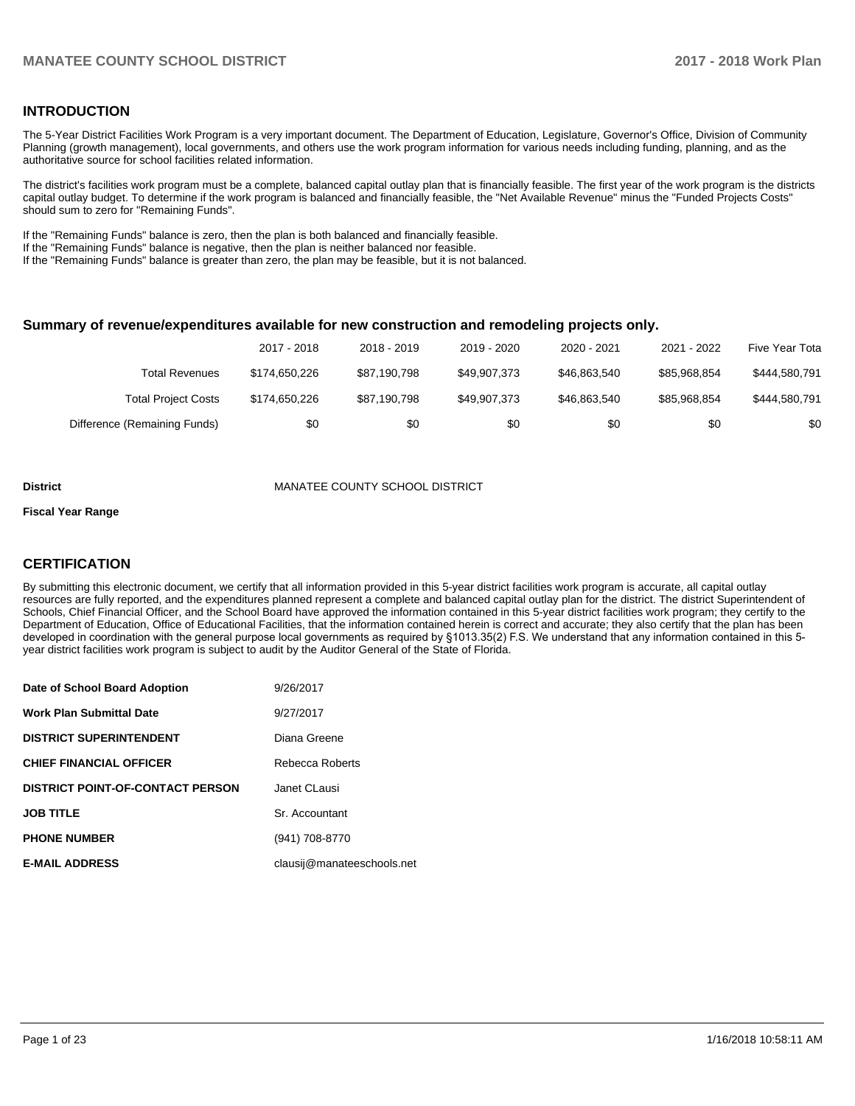#### **INTRODUCTION**

The 5-Year District Facilities Work Program is a very important document. The Department of Education, Legislature, Governor's Office, Division of Community Planning (growth management), local governments, and others use the work program information for various needs including funding, planning, and as the authoritative source for school facilities related information.

The district's facilities work program must be a complete, balanced capital outlay plan that is financially feasible. The first year of the work program is the districts capital outlay budget. To determine if the work program is balanced and financially feasible, the "Net Available Revenue" minus the "Funded Projects Costs" should sum to zero for "Remaining Funds".

If the "Remaining Funds" balance is zero, then the plan is both balanced and financially feasible.

If the "Remaining Funds" balance is negative, then the plan is neither balanced nor feasible.

If the "Remaining Funds" balance is greater than zero, the plan may be feasible, but it is not balanced.

#### **Summary of revenue/expenditures available for new construction and remodeling projects only.**

|                              | 2017 - 2018   | 2018 - 2019  | 2019 - 2020  | 2020 - 2021  | 2021 - 2022  | Five Year Tota |
|------------------------------|---------------|--------------|--------------|--------------|--------------|----------------|
| Total Revenues               | \$174.650.226 | \$87,190,798 | \$49.907.373 | \$46,863,540 | \$85.968.854 | \$444,580,791  |
| <b>Total Project Costs</b>   | \$174.650.226 | \$87,190,798 | \$49.907.373 | \$46,863,540 | \$85.968.854 | \$444,580,791  |
| Difference (Remaining Funds) | \$0           | \$0          | \$0          | \$0          | \$0          | \$0            |

#### **District** MANATEE COUNTY SCHOOL DISTRICT

#### **Fiscal Year Range**

### **CERTIFICATION**

By submitting this electronic document, we certify that all information provided in this 5-year district facilities work program is accurate, all capital outlay resources are fully reported, and the expenditures planned represent a complete and balanced capital outlay plan for the district. The district Superintendent of Schools, Chief Financial Officer, and the School Board have approved the information contained in this 5-year district facilities work program; they certify to the Department of Education, Office of Educational Facilities, that the information contained herein is correct and accurate; they also certify that the plan has been developed in coordination with the general purpose local governments as required by §1013.35(2) F.S. We understand that any information contained in this 5year district facilities work program is subject to audit by the Auditor General of the State of Florida.

| Date of School Board Adoption           | 9/26/2017                  |
|-----------------------------------------|----------------------------|
| <b>Work Plan Submittal Date</b>         | 9/27/2017                  |
| <b>DISTRICT SUPERINTENDENT</b>          | Diana Greene               |
| <b>CHIEF FINANCIAL OFFICER</b>          | Rebecca Roberts            |
| <b>DISTRICT POINT-OF-CONTACT PERSON</b> | Janet CLausi               |
| <b>JOB TITLE</b>                        | Sr. Accountant             |
| <b>PHONE NUMBER</b>                     | (941) 708-8770             |
| <b>E-MAIL ADDRESS</b>                   | clausij@manateeschools.net |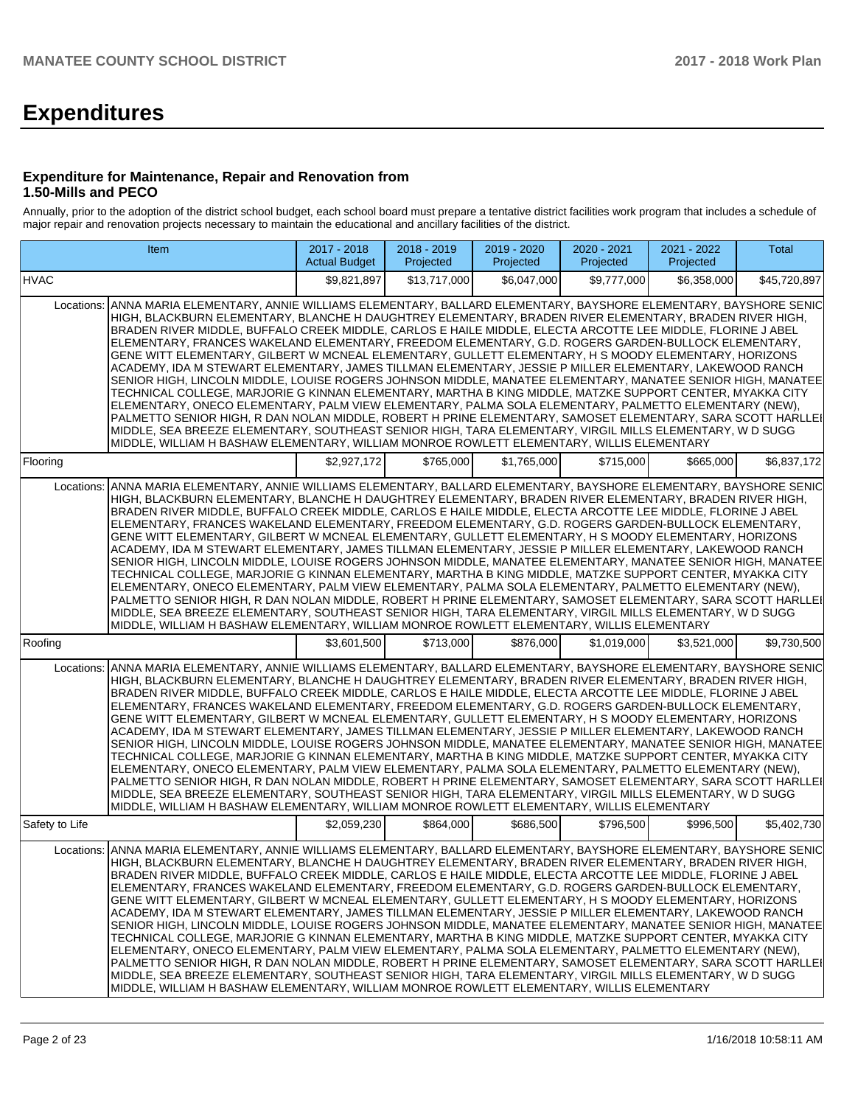# **Expenditures**

#### **Expenditure for Maintenance, Repair and Renovation from 1.50-Mills and PECO**

Annually, prior to the adoption of the district school budget, each school board must prepare a tentative district facilities work program that includes a schedule of major repair and renovation projects necessary to maintain the educational and ancillary facilities of the district.

| Item                                                                                                                                                                                                                                                                                                                                                                                                                                                                                                                                                                                                                                                                                                                                                                                                                                                                                                                                                                                                                                                                                                                                                                                                                                                                                                                                      | 2017 - 2018<br><b>Actual Budget</b> | 2018 - 2019<br>Projected | 2019 - 2020<br>Projected | 2020 - 2021<br>Projected | 2021 - 2022<br>Projected | <b>Total</b> |
|-------------------------------------------------------------------------------------------------------------------------------------------------------------------------------------------------------------------------------------------------------------------------------------------------------------------------------------------------------------------------------------------------------------------------------------------------------------------------------------------------------------------------------------------------------------------------------------------------------------------------------------------------------------------------------------------------------------------------------------------------------------------------------------------------------------------------------------------------------------------------------------------------------------------------------------------------------------------------------------------------------------------------------------------------------------------------------------------------------------------------------------------------------------------------------------------------------------------------------------------------------------------------------------------------------------------------------------------|-------------------------------------|--------------------------|--------------------------|--------------------------|--------------------------|--------------|
| <b>HVAC</b>                                                                                                                                                                                                                                                                                                                                                                                                                                                                                                                                                                                                                                                                                                                                                                                                                                                                                                                                                                                                                                                                                                                                                                                                                                                                                                                               | \$9,821,897                         | \$13,717,000             | \$6.047.000              | \$9.777.000              | \$6,358,000              | \$45,720,897 |
| ANNA MARIA ELEMENTARY, ANNIE WILLIAMS ELEMENTARY, BALLARD ELEMENTARY, BAYSHORE ELEMENTARY, BAYSHORE SENIC<br>Locations:<br>HIGH, BLACKBURN ELEMENTARY, BLANCHE H DAUGHTREY ELEMENTARY, BRADEN RIVER ELEMENTARY, BRADEN RIVER HIGH,<br>BRADEN RIVER MIDDLE, BUFFALO CREEK MIDDLE, CARLOS E HAILE MIDDLE, ELECTA ARCOTTE LEE MIDDLE, FLORINE J ABEL<br>ELEMENTARY, FRANCES WAKELAND ELEMENTARY, FREEDOM ELEMENTARY, G.D. ROGERS GARDEN-BULLOCK ELEMENTARY,<br>GENE WITT ELEMENTARY, GILBERT W MCNEAL ELEMENTARY, GULLETT ELEMENTARY, H S MOODY ELEMENTARY, HORIZONS<br>ACADEMY, IDA M STEWART ELEMENTARY, JAMES TILLMAN ELEMENTARY, JESSIE P MILLER ELEMENTARY, LAKEWOOD RANCH<br>SENIOR HIGH, LINCOLN MIDDLE, LOUISE ROGERS JOHNSON MIDDLE, MANATEE ELEMENTARY, MANATEE SENIOR HIGH, MANATEE<br>TECHNICAL COLLEGE, MARJORIE G KINNAN ELEMENTARY, MARTHA B KING MIDDLE, MATZKE SUPPORT CENTER, MYAKKA CITY<br>ELEMENTARY, ONECO ELEMENTARY, PALM VIEW ELEMENTARY, PALMA SOLA ELEMENTARY, PALMETTO ELEMENTARY (NEW),<br>PALMETTO SENIOR HIGH, R DAN NOLAN MIDDLE, ROBERT H PRINE ELEMENTARY, SAMOSET ELEMENTARY, SARA SCOTT HARLLEI<br>MIDDLE, SEA BREEZE ELEMENTARY, SOUTHEAST SENIOR HIGH, TARA ELEMENTARY, VIRGIL MILLS ELEMENTARY, W D SUGG<br>MIDDLE, WILLIAM H BASHAW ELEMENTARY, WILLIAM MONROE ROWLETT ELEMENTARY, WILLIS ELEMENTARY |                                     |                          |                          |                          |                          |              |
| Flooring                                                                                                                                                                                                                                                                                                                                                                                                                                                                                                                                                                                                                                                                                                                                                                                                                                                                                                                                                                                                                                                                                                                                                                                                                                                                                                                                  | \$2,927,172                         | \$765,000                | \$1,765,000              | \$715,000                | \$665,000                | \$6,837,172  |
| ANNA MARIA ELEMENTARY, ANNIE WILLIAMS ELEMENTARY, BALLARD ELEMENTARY, BAYSHORE ELEMENTARY, BAYSHORE SENIC<br>Locations:<br>HIGH, BLACKBURN ELEMENTARY, BLANCHE H DAUGHTREY ELEMENTARY, BRADEN RIVER ELEMENTARY, BRADEN RIVER HIGH,<br>BRADEN RIVER MIDDLE, BUFFALO CREEK MIDDLE, CARLOS E HAILE MIDDLE, ELECTA ARCOTTE LEE MIDDLE, FLORINE J ABEL<br>ELEMENTARY, FRANCES WAKELAND ELEMENTARY, FREEDOM ELEMENTARY, G.D. ROGERS GARDEN-BULLOCK ELEMENTARY,<br>GENE WITT ELEMENTARY, GILBERT W MCNEAL ELEMENTARY, GULLETT ELEMENTARY, H S MOODY ELEMENTARY, HORIZONS<br>ACADEMY, IDA M STEWART ELEMENTARY, JAMES TILLMAN ELEMENTARY, JESSIE P MILLER ELEMENTARY, LAKEWOOD RANCH<br>SENIOR HIGH, LINCOLN MIDDLE, LOUISE ROGERS JOHNSON MIDDLE, MANATEE ELEMENTARY, MANATEE SENIOR HIGH, MANATEE<br>TECHNICAL COLLEGE, MARJORIE G KINNAN ELEMENTARY, MARTHA B KING MIDDLE, MATZKE SUPPORT CENTER, MYAKKA CITY<br>ELEMENTARY, ONECO ELEMENTARY, PALM VIEW ELEMENTARY, PALMA SOLA ELEMENTARY, PALMETTO ELEMENTARY (NEW),<br>PALMETTO SENIOR HIGH, R DAN NOLAN MIDDLE, ROBERT H PRINE ELEMENTARY, SAMOSET ELEMENTARY, SARA SCOTT HARLLEI<br>MIDDLE, SEA BREEZE ELEMENTARY, SOUTHEAST SENIOR HIGH, TARA ELEMENTARY, VIRGIL MILLS ELEMENTARY, W D SUGG<br>MIDDLE, WILLIAM H BASHAW ELEMENTARY, WILLIAM MONROE ROWLETT ELEMENTARY, WILLIS ELEMENTARY |                                     |                          |                          |                          |                          |              |
| Roofing                                                                                                                                                                                                                                                                                                                                                                                                                                                                                                                                                                                                                                                                                                                                                                                                                                                                                                                                                                                                                                                                                                                                                                                                                                                                                                                                   | \$3.601.500                         | \$713,000                | \$876,000                | \$1,019,000              | \$3,521,000              | \$9,730,500  |
| ANNA MARIA ELEMENTARY, ANNIE WILLIAMS ELEMENTARY, BALLARD ELEMENTARY, BAYSHORE ELEMENTARY, BAYSHORE SENIC<br>Locations:<br>HIGH, BLACKBURN ELEMENTARY, BLANCHE H DAUGHTREY ELEMENTARY, BRADEN RIVER ELEMENTARY, BRADEN RIVER HIGH,<br>BRADEN RIVER MIDDLE, BUFFALO CREEK MIDDLE, CARLOS E HAILE MIDDLE, ELECTA ARCOTTE LEE MIDDLE, FLORINE J ABEL<br>ELEMENTARY, FRANCES WAKELAND ELEMENTARY, FREEDOM ELEMENTARY, G.D. ROGERS GARDEN-BULLOCK ELEMENTARY,<br>GENE WITT ELEMENTARY, GILBERT W MCNEAL ELEMENTARY, GULLETT ELEMENTARY, H S MOODY ELEMENTARY, HORIZONS<br>ACADEMY, IDA M STEWART ELEMENTARY, JAMES TILLMAN ELEMENTARY, JESSIE P MILLER ELEMENTARY, LAKEWOOD RANCH<br>SENIOR HIGH, LINCOLN MIDDLE, LOUISE ROGERS JOHNSON MIDDLE, MANATEE ELEMENTARY, MANATEE SENIOR HIGH, MANATEE<br>TECHNICAL COLLEGE, MARJORIE G KINNAN ELEMENTARY, MARTHA B KING MIDDLE, MATZKE SUPPORT CENTER, MYAKKA CITY<br>ELEMENTARY, ONECO ELEMENTARY, PALM VIEW ELEMENTARY, PALMA SOLA ELEMENTARY, PALMETTO ELEMENTARY (NEW),<br>PALMETTO SENIOR HIGH, R DAN NOLAN MIDDLE, ROBERT H PRINE ELEMENTARY, SAMOSET ELEMENTARY, SARA SCOTT HARLLEI<br>MIDDLE, SEA BREEZE ELEMENTARY, SOUTHEAST SENIOR HIGH, TARA ELEMENTARY, VIRGIL MILLS ELEMENTARY, W D SUGG<br>MIDDLE, WILLIAM H BASHAW ELEMENTARY, WILLIAM MONROE ROWLETT ELEMENTARY, WILLIS ELEMENTARY |                                     |                          |                          |                          |                          |              |
| Safety to Life                                                                                                                                                                                                                                                                                                                                                                                                                                                                                                                                                                                                                                                                                                                                                                                                                                                                                                                                                                                                                                                                                                                                                                                                                                                                                                                            | \$2,059,230                         | \$864,000                | \$686,500                | \$796,500                | \$996,500                | \$5,402,730  |
| ANNA MARIA ELEMENTARY, ANNIE WILLIAMS ELEMENTARY, BALLARD ELEMENTARY, BAYSHORE ELEMENTARY, BAYSHORE SENIC<br>Locations:<br>HIGH, BLACKBURN ELEMENTARY, BLANCHE H DAUGHTREY ELEMENTARY, BRADEN RIVER ELEMENTARY, BRADEN RIVER HIGH,<br>BRADEN RIVER MIDDLE, BUFFALO CREEK MIDDLE, CARLOS E HAILE MIDDLE, ELECTA ARCOTTE LEE MIDDLE, FLORINE J ABEL<br>ELEMENTARY, FRANCES WAKELAND ELEMENTARY, FREEDOM ELEMENTARY, G.D. ROGERS GARDEN-BULLOCK ELEMENTARY.<br>GENE WITT ELEMENTARY, GILBERT W MCNEAL ELEMENTARY, GULLETT ELEMENTARY, H S MOODY ELEMENTARY, HORIZONS<br>ACADEMY, IDA M STEWART ELEMENTARY, JAMES TILLMAN ELEMENTARY, JESSIE P MILLER ELEMENTARY, LAKEWOOD RANCH<br>SENIOR HIGH, LINCOLN MIDDLE, LOUISE ROGERS JOHNSON MIDDLE, MANATEE ELEMENTARY, MANATEE SENIOR HIGH, MANATEE<br>TECHNICAL COLLEGE. MARJORIE G KINNAN ELEMENTARY. MARTHA B KING MIDDLE. MATZKE SUPPORT CENTER. MYAKKA CITY<br>ELEMENTARY. ONECO ELEMENTARY. PALM VIEW ELEMENTARY. PALMA SOLA ELEMENTARY. PALMETTO ELEMENTARY (NEW).<br>PALMETTO SENIOR HIGH, R DAN NOLAN MIDDLE, ROBERT H PRINE ELEMENTARY, SAMOSET ELEMENTARY, SARA SCOTT HARLLEI<br>MIDDLE. SEA BREEZE ELEMENTARY. SOUTHEAST SENIOR HIGH. TARA ELEMENTARY. VIRGIL MILLS ELEMENTARY. W D SUGG<br>MIDDLE, WILLIAM H BASHAW ELEMENTARY, WILLIAM MONROE ROWLETT ELEMENTARY, WILLIS ELEMENTARY |                                     |                          |                          |                          |                          |              |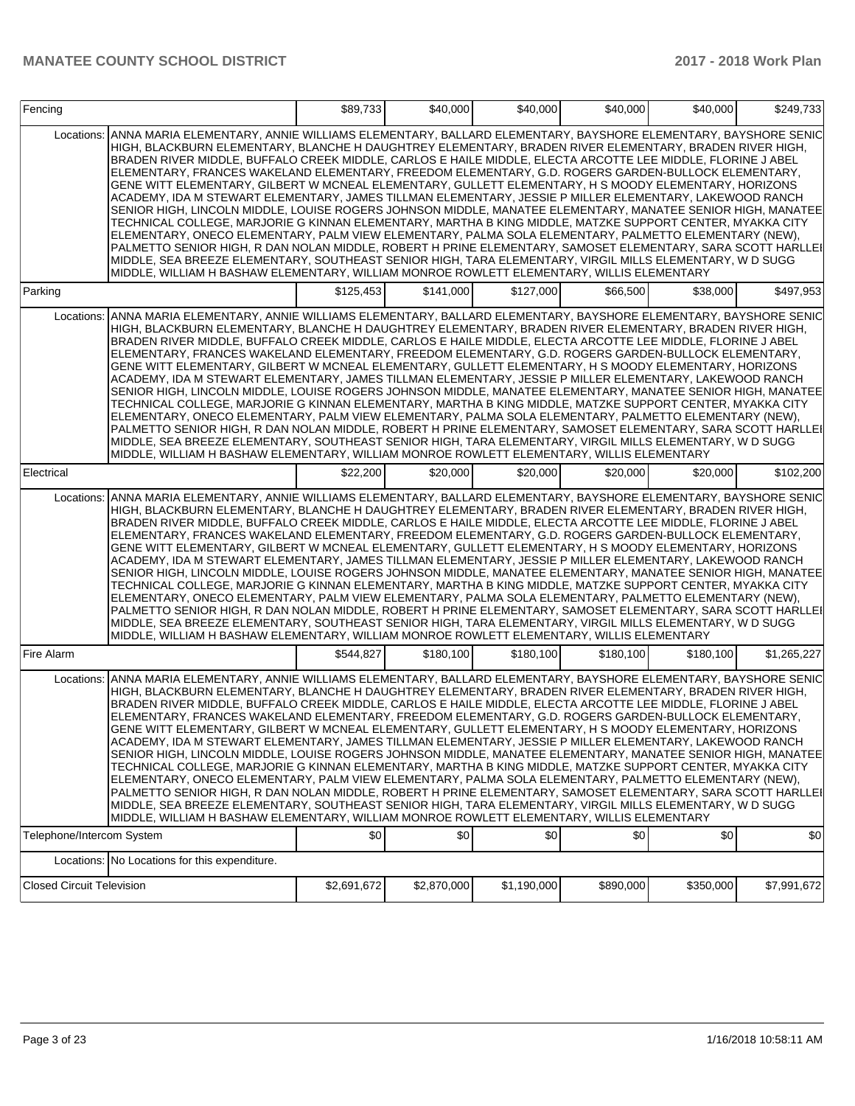| Fencing                          |                                                                                                                                                                                                                                                                                                                                                                                                                                                                                                                                                                                                                                                                                                                                                                                                                                                                                                                                                                                                                                                                                                                                                                                                                                                                                                                                         | \$89,733    | \$40,000    | \$40,000    | \$40,000  | \$40,000  | \$249,733   |
|----------------------------------|-----------------------------------------------------------------------------------------------------------------------------------------------------------------------------------------------------------------------------------------------------------------------------------------------------------------------------------------------------------------------------------------------------------------------------------------------------------------------------------------------------------------------------------------------------------------------------------------------------------------------------------------------------------------------------------------------------------------------------------------------------------------------------------------------------------------------------------------------------------------------------------------------------------------------------------------------------------------------------------------------------------------------------------------------------------------------------------------------------------------------------------------------------------------------------------------------------------------------------------------------------------------------------------------------------------------------------------------|-------------|-------------|-------------|-----------|-----------|-------------|
| Locations:                       | ANNA MARIA ELEMENTARY, ANNIE WILLIAMS ELEMENTARY, BALLARD ELEMENTARY, BAYSHORE ELEMENTARY, BAYSHORE SENIC<br>HIGH, BLACKBURN ELEMENTARY, BLANCHE H DAUGHTREY ELEMENTARY, BRADEN RIVER ELEMENTARY, BRADEN RIVER HIGH,<br>BRADEN RIVER MIDDLE, BUFFALO CREEK MIDDLE, CARLOS E HAILE MIDDLE, ELECTA ARCOTTE LEE MIDDLE, FLORINE J ABEL<br>ELEMENTARY, FRANCES WAKELAND ELEMENTARY, FREEDOM ELEMENTARY, G.D. ROGERS GARDEN-BULLOCK ELEMENTARY,<br>GENE WITT ELEMENTARY, GILBERT W MCNEAL ELEMENTARY, GULLETT ELEMENTARY, H S MOODY ELEMENTARY, HORIZONS<br>ACADEMY, IDA M STEWART ELEMENTARY, JAMES TILLMAN ELEMENTARY, JESSIE P MILLER ELEMENTARY, LAKEWOOD RANCH<br>SENIOR HIGH, LINCOLN MIDDLE, LOUISE ROGERS JOHNSON MIDDLE, MANATEE ELEMENTARY, MANATEE SENIOR HIGH, MANATEE<br>TECHNICAL COLLEGE, MARJORIE G KINNAN ELEMENTARY, MARTHA B KING MIDDLE, MATZKE SUPPORT CENTER, MYAKKA CITY<br>ELEMENTARY, ONECO ELEMENTARY, PALM VIEW ELEMENTARY, PALMA SOLA ELEMENTARY, PALMETTO ELEMENTARY (NEW),<br>PALMETTO SENIOR HIGH, R DAN NOLAN MIDDLE, ROBERT H PRINE ELEMENTARY, SAMOSET ELEMENTARY, SARA SCOTT HARLLEI<br>MIDDLE, SEA BREEZE ELEMENTARY, SOUTHEAST SENIOR HIGH, TARA ELEMENTARY, VIRGIL MILLS ELEMENTARY, W D SUGG<br>MIDDLE, WILLIAM H BASHAW ELEMENTARY, WILLIAM MONROE ROWLETT ELEMENTARY, WILLIS ELEMENTARY             |             |             |             |           |           |             |
| Parking                          |                                                                                                                                                                                                                                                                                                                                                                                                                                                                                                                                                                                                                                                                                                                                                                                                                                                                                                                                                                                                                                                                                                                                                                                                                                                                                                                                         | \$125,453   | \$141,000   | \$127,000   | \$66,500  | \$38,000  | \$497,953   |
| Locations:                       | ANNA MARIA ELEMENTARY, ANNIE WILLIAMS ELEMENTARY, BALLARD ELEMENTARY, BAYSHORE ELEMENTARY, BAYSHORE SENIC<br>HIGH, BLACKBURN ELEMENTARY, BLANCHE H DAUGHTREY ELEMENTARY, BRADEN RIVER ELEMENTARY, BRADEN RIVER HIGH,<br>BRADEN RIVER MIDDLE, BUFFALO CREEK MIDDLE, CARLOS E HAILE MIDDLE, ELECTA ARCOTTE LEE MIDDLE, FLORINE J ABEL<br>ELEMENTARY, FRANCES WAKELAND ELEMENTARY, FREEDOM ELEMENTARY, G.D. ROGERS GARDEN-BULLOCK ELEMENTARY,<br>GENE WITT ELEMENTARY, GILBERT W MCNEAL ELEMENTARY, GULLETT ELEMENTARY, H S MOODY ELEMENTARY, HORIZONS<br>ACADEMY, IDA M STEWART ELEMENTARY, JAMES TILLMAN ELEMENTARY, JESSIE P MILLER ELEMENTARY, LAKEWOOD RANCH<br>SENIOR HIGH, LINCOLN MIDDLE, LOUISE ROGERS JOHNSON MIDDLE, MANATEE ELEMENTARY, MANATEE SENIOR HIGH, MANATEE<br>TECHNICAL COLLEGE, MARJORIE G KINNAN ELEMENTARY, MARTHA B KING MIDDLE, MATZKE SUPPORT CENTER, MYAKKA CITY<br>ELEMENTARY, ONECO ELEMENTARY, PALM VIEW ELEMENTARY, PALMA SOLA ELEMENTARY, PALMETTO ELEMENTARY (NEW),<br>PALMETTO SENIOR HIGH, R DAN NOLAN MIDDLE, ROBERT H PRINE ELEMENTARY, SAMOSET ELEMENTARY, SARA SCOTT HARLLEI<br>MIDDLE, SEA BREEZE ELEMENTARY, SOUTHEAST SENIOR HIGH, TARA ELEMENTARY, VIRGIL MILLS ELEMENTARY, W D SUGG<br>MIDDLE, WILLIAM H BASHAW ELEMENTARY, WILLIAM MONROE ROWLETT ELEMENTARY, WILLIS ELEMENTARY             |             |             |             |           |           |             |
| Electrical                       |                                                                                                                                                                                                                                                                                                                                                                                                                                                                                                                                                                                                                                                                                                                                                                                                                                                                                                                                                                                                                                                                                                                                                                                                                                                                                                                                         | \$22,200    | \$20,000    | \$20,000    | \$20,000  | \$20,000  | \$102,200   |
| Locations:                       | ANNA MARIA ELEMENTARY, ANNIE WILLIAMS ELEMENTARY, BALLARD ELEMENTARY, BAYSHORE ELEMENTARY, BAYSHORE SENIC<br>HIGH, BLACKBURN ELEMENTARY, BLANCHE H DAUGHTREY ELEMENTARY, BRADEN RIVER ELEMENTARY, BRADEN RIVER HIGH,<br>BRADEN RIVER MIDDLE, BUFFALO CREEK MIDDLE, CARLOS E HAILE MIDDLE, ELECTA ARCOTTE LEE MIDDLE, FLORINE J ABEL<br>ELEMENTARY, FRANCES WAKELAND ELEMENTARY, FREEDOM ELEMENTARY, G.D. ROGERS GARDEN-BULLOCK ELEMENTARY,<br>GENE WITT ELEMENTARY, GILBERT W MCNEAL ELEMENTARY, GULLETT ELEMENTARY, H S MOODY ELEMENTARY, HORIZONS<br>ACADEMY, IDA M STEWART ELEMENTARY, JAMES TILLMAN ELEMENTARY, JESSIE P MILLER ELEMENTARY, LAKEWOOD RANCH<br>SENIOR HIGH, LINCOLN MIDDLE, LOUISE ROGERS JOHNSON MIDDLE, MANATEE ELEMENTARY, MANATEE SENIOR HIGH, MANATEE<br>TECHNICAL COLLEGE, MARJORIE G KINNAN ELEMENTARY, MARTHA B KING MIDDLE, MATZKE SUPPORT CENTER, MYAKKA CITY<br>ELEMENTARY, ONECO ELEMENTARY, PALM VIEW ELEMENTARY, PALMA SOLA ELEMENTARY, PALMETTO ELEMENTARY (NEW),<br>PALMETTO SENIOR HIGH, R DAN NOLAN MIDDLE, ROBERT H PRINE ELEMENTARY, SAMOSET ELEMENTARY, SARA SCOTT HARLLEI<br>MIDDLE, SEA BREEZE ELEMENTARY, SOUTHEAST SENIOR HIGH, TARA ELEMENTARY, VIRGIL MILLS ELEMENTARY, W D SUGG<br>MIDDLE, WILLIAM H BASHAW ELEMENTARY, WILLIAM MONROE ROWLETT ELEMENTARY, WILLIS ELEMENTARY             |             |             |             |           |           |             |
| Fire Alarm                       |                                                                                                                                                                                                                                                                                                                                                                                                                                                                                                                                                                                                                                                                                                                                                                                                                                                                                                                                                                                                                                                                                                                                                                                                                                                                                                                                         | \$544.827   | \$180.100   | \$180.100   | \$180.100 | \$180.100 | \$1,265,227 |
|                                  | Locations: ANNA MARIA ELEMENTARY, ANNIE WILLIAMS ELEMENTARY, BALLARD ELEMENTARY, BAYSHORE ELEMENTARY, BAYSHORE SENIC<br>HIGH, BLACKBURN ELEMENTARY, BLANCHE H DAUGHTREY ELEMENTARY, BRADEN RIVER ELEMENTARY, BRADEN RIVER HIGH,<br>BRADEN RIVER MIDDLE, BUFFALO CREEK MIDDLE, CARLOS E HAILE MIDDLE, ELECTA ARCOTTE LEE MIDDLE, FLORINE J ABEL<br>ELEMENTARY, FRANCES WAKELAND ELEMENTARY, FREEDOM ELEMENTARY, G.D. ROGERS GARDEN-BULLOCK ELEMENTARY,<br>GENE WITT ELEMENTARY, GILBERT W MCNEAL ELEMENTARY, GULLETT ELEMENTARY, H S MOODY ELEMENTARY, HORIZONS<br>ACADEMY, IDA M STEWART ELEMENTARY, JAMES TILLMAN ELEMENTARY, JESSIE P MILLER ELEMENTARY, LAKEWOOD RANCH<br>SENIOR HIGH. LINCOLN MIDDLE. LOUISE ROGERS JOHNSON MIDDLE. MANATEE ELEMENTARY. MANATEE SENIOR HIGH. MANATEEI<br>TECHNICAL COLLEGE, MARJORIE G KINNAN ELEMENTARY, MARTHA B KING MIDDLE, MATZKE SUPPORT CENTER, MYAKKA CITY<br>ELEMENTARY, ONECO ELEMENTARY, PALM VIEW ELEMENTARY, PALMA SOLA ELEMENTARY, PALMETTO ELEMENTARY (NEW),<br>PALMETTO SENIOR HIGH, R DAN NOLAN MIDDLE, ROBERT H PRINE ELEMENTARY, SAMOSET ELEMENTARY, SARA SCOTT HARLLEI<br>MIDDLE. SEA BREEZE ELEMENTARY. SOUTHEAST SENIOR HIGH. TARA ELEMENTARY. VIRGIL MILLS ELEMENTARY. W D SUGG<br>MIDDLE, WILLIAM H BASHAW ELEMENTARY, WILLIAM MONROE ROWLETT ELEMENTARY, WILLIS ELEMENTARY |             |             |             |           |           |             |
| Telephone/Intercom System        |                                                                                                                                                                                                                                                                                                                                                                                                                                                                                                                                                                                                                                                                                                                                                                                                                                                                                                                                                                                                                                                                                                                                                                                                                                                                                                                                         | \$0         | \$0         | \$0         | \$0       | \$0       | 30          |
|                                  | Locations: No Locations for this expenditure.                                                                                                                                                                                                                                                                                                                                                                                                                                                                                                                                                                                                                                                                                                                                                                                                                                                                                                                                                                                                                                                                                                                                                                                                                                                                                           |             |             |             |           |           |             |
| <b>Closed Circuit Television</b> |                                                                                                                                                                                                                                                                                                                                                                                                                                                                                                                                                                                                                                                                                                                                                                                                                                                                                                                                                                                                                                                                                                                                                                                                                                                                                                                                         | \$2,691,672 | \$2,870,000 | \$1,190,000 | \$890,000 | \$350,000 | \$7,991,672 |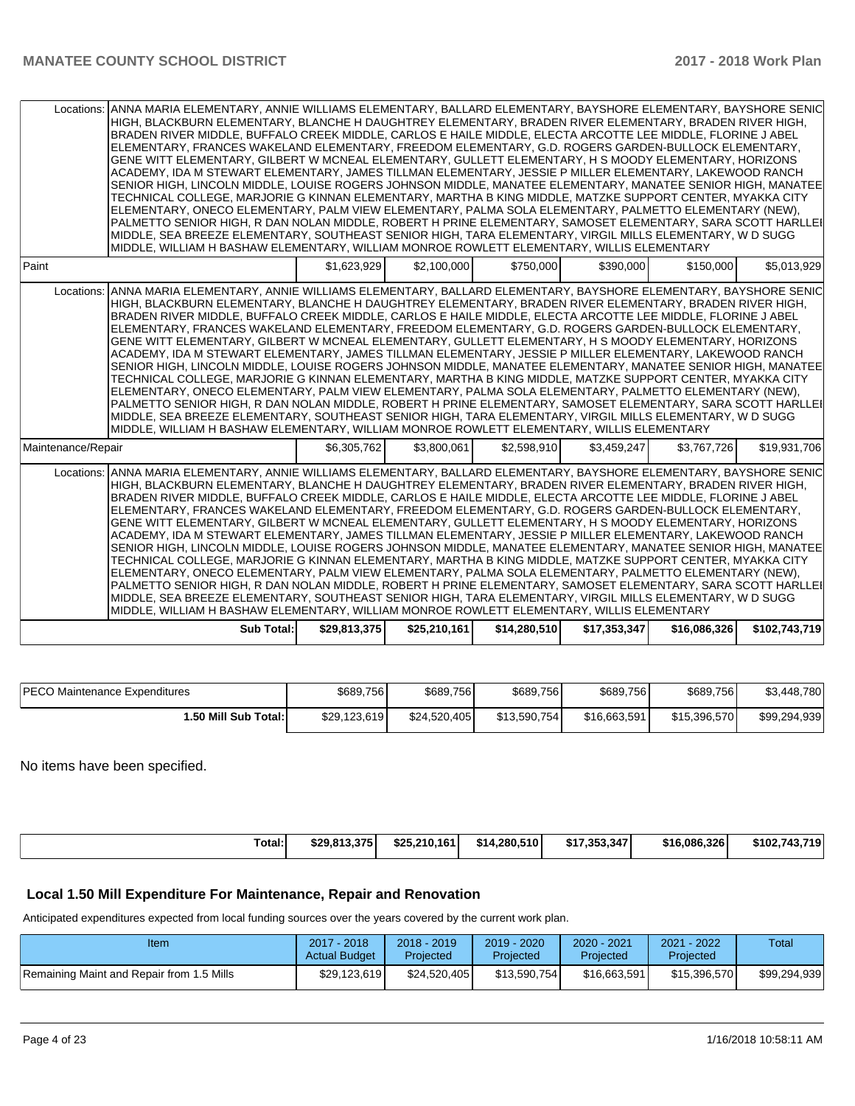| Locations: ANNA MARIA ELEMENTARY, ANNIE WILLIAMS ELEMENTARY, BALLARD ELEMENTARY, BAYSHORE ELEMENTARY, BAYSHORE SENIC<br>HIGH, BLACKBURN ELEMENTARY, BLANCHE H DAUGHTREY ELEMENTARY, BRADEN RIVER ELEMENTARY, BRADEN RIVER HIGH,<br>BRADEN RIVER MIDDLE, BUFFALO CREEK MIDDLE, CARLOS E HAILE MIDDLE, ELECTA ARCOTTE LEE MIDDLE, FLORINE J ABEL<br>ELEMENTARY, FRANCES WAKELAND ELEMENTARY, FREEDOM ELEMENTARY, G.D. ROGERS GARDEN-BULLOCK ELEMENTARY,<br>GENE WITT ELEMENTARY, GILBERT W MCNEAL ELEMENTARY, GULLETT ELEMENTARY, H S MOODY ELEMENTARY, HORIZONS<br>ACADEMY, IDA M STEWART ELEMENTARY, JAMES TILLMAN ELEMENTARY, JESSIE P MILLER ELEMENTARY, LAKEWOOD RANCH<br>SENIOR HIGH, LINCOLN MIDDLE, LOUISE ROGERS JOHNSON MIDDLE, MANATEE ELEMENTARY, MANATEE SENIOR HIGH, MANATEE<br>TECHNICAL COLLEGE, MARJORIE G KINNAN ELEMENTARY, MARTHA B KING MIDDLE, MATZKE SUPPORT CENTER, MYAKKA CITY<br>ELEMENTARY, ONECO ELEMENTARY, PALM VIEW ELEMENTARY, PALMA SOLA ELEMENTARY, PALMETTO ELEMENTARY (NEW),<br>PALMETTO SENIOR HIGH, R DAN NOLAN MIDDLE, ROBERT H PRINE ELEMENTARY, SAMOSET ELEMENTARY, SARA SCOTT HARLLEI<br>MIDDLE, SEA BREEZE ELEMENTARY, SOUTHEAST SENIOR HIGH, TARA ELEMENTARY, VIRGIL MILLS ELEMENTARY, W D SUGG<br>MIDDLE, WILLIAM H BASHAW ELEMENTARY, WILLIAM MONROE ROWLETT ELEMENTARY, WILLIS ELEMENTARY    |              |              |              |              |              |               |
|-------------------------------------------------------------------------------------------------------------------------------------------------------------------------------------------------------------------------------------------------------------------------------------------------------------------------------------------------------------------------------------------------------------------------------------------------------------------------------------------------------------------------------------------------------------------------------------------------------------------------------------------------------------------------------------------------------------------------------------------------------------------------------------------------------------------------------------------------------------------------------------------------------------------------------------------------------------------------------------------------------------------------------------------------------------------------------------------------------------------------------------------------------------------------------------------------------------------------------------------------------------------------------------------------------------------------------------------|--------------|--------------|--------------|--------------|--------------|---------------|
| Paint                                                                                                                                                                                                                                                                                                                                                                                                                                                                                                                                                                                                                                                                                                                                                                                                                                                                                                                                                                                                                                                                                                                                                                                                                                                                                                                                     | \$1.623.929  | \$2,100,000  | \$750,000    | \$390.000    | \$150,000    | \$5,013,929   |
| Locations: ANNA MARIA ELEMENTARY, ANNIE WILLIAMS ELEMENTARY, BALLARD ELEMENTARY, BAYSHORE ELEMENTARY, BAYSHORE SENIC<br>HIGH, BLACKBURN ELEMENTARY, BLANCHE H DAUGHTREY ELEMENTARY, BRADEN RIVER ELEMENTARY, BRADEN RIVER HIGH,<br>BRADEN RIVER MIDDLE, BUFFALO CREEK MIDDLE, CARLOS E HAILE MIDDLE, ELECTA ARCOTTE LEE MIDDLE, FLORINE J ABEL<br>ELEMENTARY, FRANCES WAKELAND ELEMENTARY, FREEDOM ELEMENTARY, G.D. ROGERS GARDEN-BULLOCK ELEMENTARY,<br>GENE WITT ELEMENTARY, GILBERT W MCNEAL ELEMENTARY, GULLETT ELEMENTARY, H S MOODY ELEMENTARY, HORIZONS<br>ACADEMY, IDA M STEWART ELEMENTARY, JAMES TILLMAN ELEMENTARY, JESSIE P MILLER ELEMENTARY, LAKEWOOD RANCH<br>SENIOR HIGH, LINCOLN MIDDLE, LOUISE ROGERS JOHNSON MIDDLE, MANATEE ELEMENTARY, MANATEE SENIOR HIGH, MANATEE<br>TECHNICAL COLLEGE, MARJORIE G KINNAN ELEMENTARY, MARTHA B KING MIDDLE, MATZKE SUPPORT CENTER, MYAKKA CITY<br>ELEMENTARY, ONECO ELEMENTARY, PALM VIEW ELEMENTARY, PALMA SOLA ELEMENTARY, PALMETTO ELEMENTARY (NEW),<br>PALMETTO SENIOR HIGH, R DAN NOLAN MIDDLE, ROBERT H PRINE ELEMENTARY, SAMOSET ELEMENTARY, SARA SCOTT HARLLEI<br>MIDDLE, SEA BREEZE ELEMENTARY, SOUTHEAST SENIOR HIGH, TARA ELEMENTARY, VIRGIL MILLS ELEMENTARY, W D SUGG<br>MIDDLE, WILLIAM H BASHAW ELEMENTARY, WILLIAM MONROE ROWLETT ELEMENTARY, WILLIS ELEMENTARY    |              |              |              |              |              |               |
| Maintenance/Repair                                                                                                                                                                                                                                                                                                                                                                                                                                                                                                                                                                                                                                                                                                                                                                                                                                                                                                                                                                                                                                                                                                                                                                                                                                                                                                                        | \$6.305.762  | \$3.800.061  | \$2,598,910  | \$3.459.247  | \$3,767,726  | \$19.931.706  |
| ANNA MARIA ELEMENTARY, ANNIE WILLIAMS ELEMENTARY, BALLARD ELEMENTARY, BAYSHORE ELEMENTARY, BAYSHORE SENIC<br>Locations:<br>HIGH, BLACKBURN ELEMENTARY, BLANCHE H DAUGHTREY ELEMENTARY, BRADEN RIVER ELEMENTARY, BRADEN RIVER HIGH,<br>BRADEN RIVER MIDDLE, BUFFALO CREEK MIDDLE, CARLOS E HAILE MIDDLE, ELECTA ARCOTTE LEE MIDDLE, FLORINE J ABEL<br>ELEMENTARY, FRANCES WAKELAND ELEMENTARY, FREEDOM ELEMENTARY, G.D. ROGERS GARDEN-BULLOCK ELEMENTARY,<br>GENE WITT ELEMENTARY, GILBERT W MCNEAL ELEMENTARY, GULLETT ELEMENTARY, H S MOODY ELEMENTARY, HORIZONS<br>ACADEMY, IDA M STEWART ELEMENTARY, JAMES TILLMAN ELEMENTARY, JESSIE P MILLER ELEMENTARY, LAKEWOOD RANCH<br>SENIOR HIGH, LINCOLN MIDDLE, LOUISE ROGERS JOHNSON MIDDLE, MANATEE ELEMENTARY, MANATEE SENIOR HIGH, MANATEE<br>TECHNICAL COLLEGE, MARJORIE G KINNAN ELEMENTARY, MARTHA B KING MIDDLE, MATZKE SUPPORT CENTER, MYAKKA CITY<br>ELEMENTARY, ONECO ELEMENTARY, PALM VIEW ELEMENTARY, PALMA SOLA ELEMENTARY, PALMETTO ELEMENTARY (NEW),<br>PALMETTO SENIOR HIGH, R DAN NOLAN MIDDLE, ROBERT H PRINE ELEMENTARY, SAMOSET ELEMENTARY, SARA SCOTT HARLLEI<br>MIDDLE, SEA BREEZE ELEMENTARY, SOUTHEAST SENIOR HIGH, TARA ELEMENTARY, VIRGIL MILLS ELEMENTARY, W D SUGG<br>MIDDLE, WILLIAM H BASHAW ELEMENTARY, WILLIAM MONROE ROWLETT ELEMENTARY, WILLIS ELEMENTARY |              |              |              |              |              |               |
| <b>Sub Total:</b>                                                                                                                                                                                                                                                                                                                                                                                                                                                                                                                                                                                                                                                                                                                                                                                                                                                                                                                                                                                                                                                                                                                                                                                                                                                                                                                         | \$29,813,375 | \$25,210,161 | \$14,280,510 | \$17,353,347 | \$16,086,326 | \$102,743,719 |

| <b>PECO Maintenance Expenditures</b> | \$689,756    | \$689,756    | \$689,756    | \$689,756    | \$689,756    | \$3,448,780  |
|--------------------------------------|--------------|--------------|--------------|--------------|--------------|--------------|
| 1.50 Mill Sub Total:                 | \$29.123.619 | \$24.520.405 | \$13,590,754 | \$16,663,591 | \$15,396,570 | \$99,294,939 |

No items have been specified.

| Total:<br>\$14.280.510<br>\$17.353.347<br>\$16.086.326l<br>\$25.210.161<br>\$29,813,375 |  |  |  |               |
|-----------------------------------------------------------------------------------------|--|--|--|---------------|
|                                                                                         |  |  |  | \$102.743.719 |

### **Local 1.50 Mill Expenditure For Maintenance, Repair and Renovation**

Anticipated expenditures expected from local funding sources over the years covered by the current work plan.

| Item                                      | 2017 - 2018<br><b>Actual Budget</b> | $2018 - 2019$<br>Projected | 2019 - 2020<br>Projected | $2020 - 2021$<br>Projected | 2021 - 2022<br>Projected | Total        |
|-------------------------------------------|-------------------------------------|----------------------------|--------------------------|----------------------------|--------------------------|--------------|
| Remaining Maint and Repair from 1.5 Mills | \$29.123.619                        | \$24.520.405               | \$13.590.754             | \$16,663,591               | \$15,396,570             | \$99,294,939 |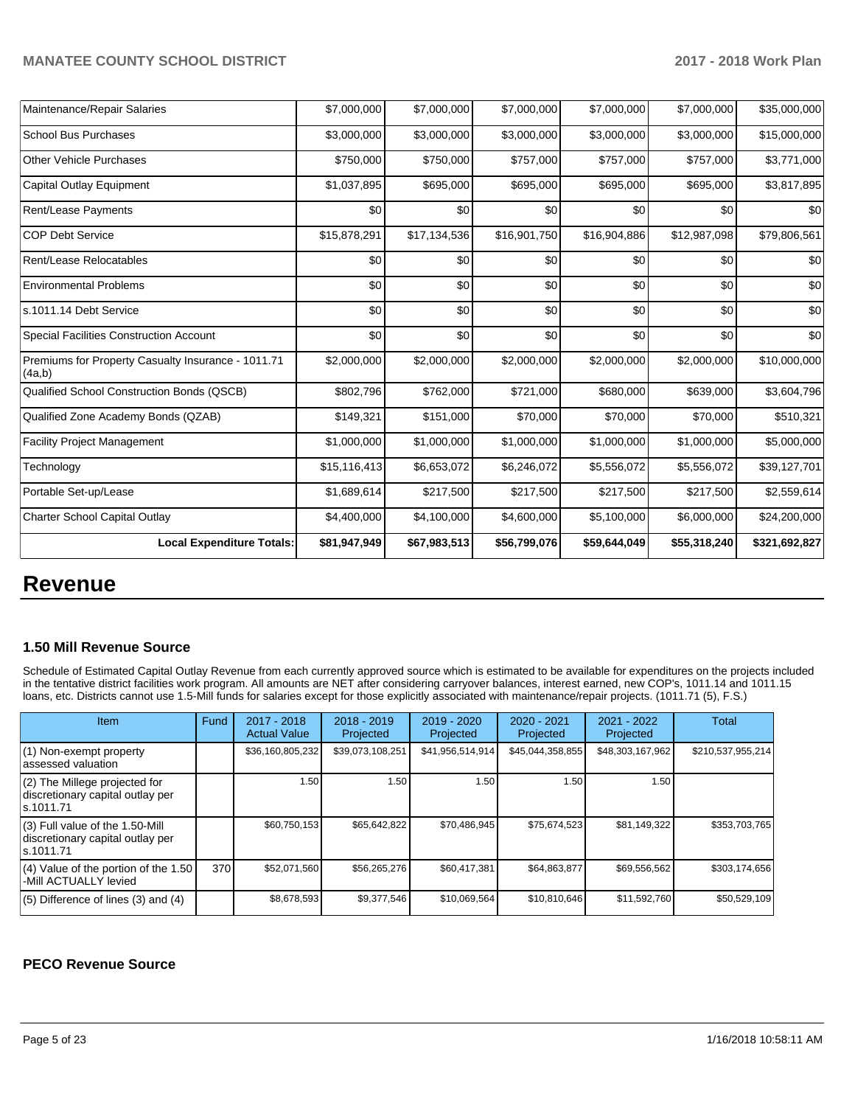| Maintenance/Repair Salaries                                  | \$7,000,000  | \$7,000,000  | \$7,000,000  | \$7,000,000  | \$7,000,000  | \$35,000,000  |
|--------------------------------------------------------------|--------------|--------------|--------------|--------------|--------------|---------------|
| <b>School Bus Purchases</b>                                  | \$3,000,000  | \$3,000,000  | \$3,000,000  | \$3,000,000  | \$3,000,000  | \$15,000,000  |
| <b>Other Vehicle Purchases</b>                               | \$750,000    | \$750,000    | \$757,000    | \$757,000    | \$757,000    | \$3,771,000   |
| <b>Capital Outlay Equipment</b>                              | \$1,037,895  | \$695,000    | \$695,000    | \$695,000    | \$695,000    | \$3,817,895   |
| <b>Rent/Lease Payments</b>                                   | \$0          | \$0          | \$0          | \$0          | \$0          | \$0           |
| <b>COP Debt Service</b>                                      | \$15,878,291 | \$17,134,536 | \$16,901,750 | \$16,904,886 | \$12,987,098 | \$79,806,561  |
| Rent/Lease Relocatables                                      | \$0          | \$0          | \$0          | \$0          | \$0          | \$0           |
| <b>Environmental Problems</b>                                | \$0          | \$0          | \$0          | \$0          | \$0          | \$0           |
| s.1011.14 Debt Service                                       | \$0          | \$0          | \$0          | \$0          | \$0          | \$0           |
| <b>Special Facilities Construction Account</b>               | \$0          | \$0          | \$0          | \$0          | \$0          | \$0           |
| Premiums for Property Casualty Insurance - 1011.71<br>(4a,b) | \$2,000,000  | \$2,000,000  | \$2,000,000  | \$2,000,000  | \$2,000,000  | \$10,000,000  |
| Qualified School Construction Bonds (QSCB)                   | \$802,796    | \$762,000    | \$721,000    | \$680,000    | \$639,000    | \$3,604,796   |
| Qualified Zone Academy Bonds (QZAB)                          | \$149,321    | \$151,000    | \$70,000     | \$70,000     | \$70,000     | \$510,321     |
| <b>Facility Project Management</b>                           | \$1,000,000  | \$1,000,000  | \$1,000,000  | \$1,000,000  | \$1,000,000  | \$5,000,000   |
| Technology                                                   | \$15,116,413 | \$6,653,072  | \$6,246,072  | \$5,556,072  | \$5,556,072  | \$39,127,701  |
| Portable Set-up/Lease                                        | \$1,689,614  | \$217,500    | \$217,500    | \$217,500    | \$217,500    | \$2,559,614   |
| Charter School Capital Outlay                                | \$4,400,000  | \$4,100,000  | \$4,600,000  | \$5,100,000  | \$6,000,000  | \$24,200,000  |
| <b>Local Expenditure Totals:</b>                             | \$81,947,949 | \$67,983,513 | \$56,799,076 | \$59,644,049 | \$55,318,240 | \$321,692,827 |

## **Revenue**

#### **1.50 Mill Revenue Source**

Schedule of Estimated Capital Outlay Revenue from each currently approved source which is estimated to be available for expenditures on the projects included in the tentative district facilities work program. All amounts are NET after considering carryover balances, interest earned, new COP's, 1011.14 and 1011.15 loans, etc. Districts cannot use 1.5-Mill funds for salaries except for those explicitly associated with maintenance/repair projects. (1011.71 (5), F.S.)

| <b>Item</b>                                                                         | Fund | $2017 - 2018$<br><b>Actual Value</b> | $2018 - 2019$<br>Projected | $2019 - 2020$<br>Projected | $2020 - 2021$<br>Projected | $2021 - 2022$<br>Projected | Total             |
|-------------------------------------------------------------------------------------|------|--------------------------------------|----------------------------|----------------------------|----------------------------|----------------------------|-------------------|
| (1) Non-exempt property<br>lassessed valuation                                      |      | \$36,160,805,232                     | \$39,073,108,251           | \$41,956,514,914           | \$45,044,358,855           | \$48,303,167,962           | \$210,537,955,214 |
| $(2)$ The Millege projected for<br>discretionary capital outlay per<br>ls.1011.71   |      | 1.50                                 | 1.50                       | 1.50                       | 1.50                       | 1.50 <sub>1</sub>          |                   |
| $(3)$ Full value of the 1.50-Mill<br>discretionary capital outlay per<br>ls.1011.71 |      | \$60.750.153                         | \$65,642,822               | \$70,486,945               | \$75.674.523               | \$81,149,322               | \$353,703,765     |
| $(4)$ Value of the portion of the 1.50<br>-Mill ACTUALLY levied                     | 370  | \$52.071.560                         | \$56,265,276               | \$60.417.381               | \$64.863.877               | \$69,556,562               | \$303,174,656     |
| $(5)$ Difference of lines (3) and (4)                                               |      | \$8,678,593                          | \$9,377,546                | \$10,069,564               | \$10,810,646               | \$11,592,760               | \$50,529,109      |

### **PECO Revenue Source**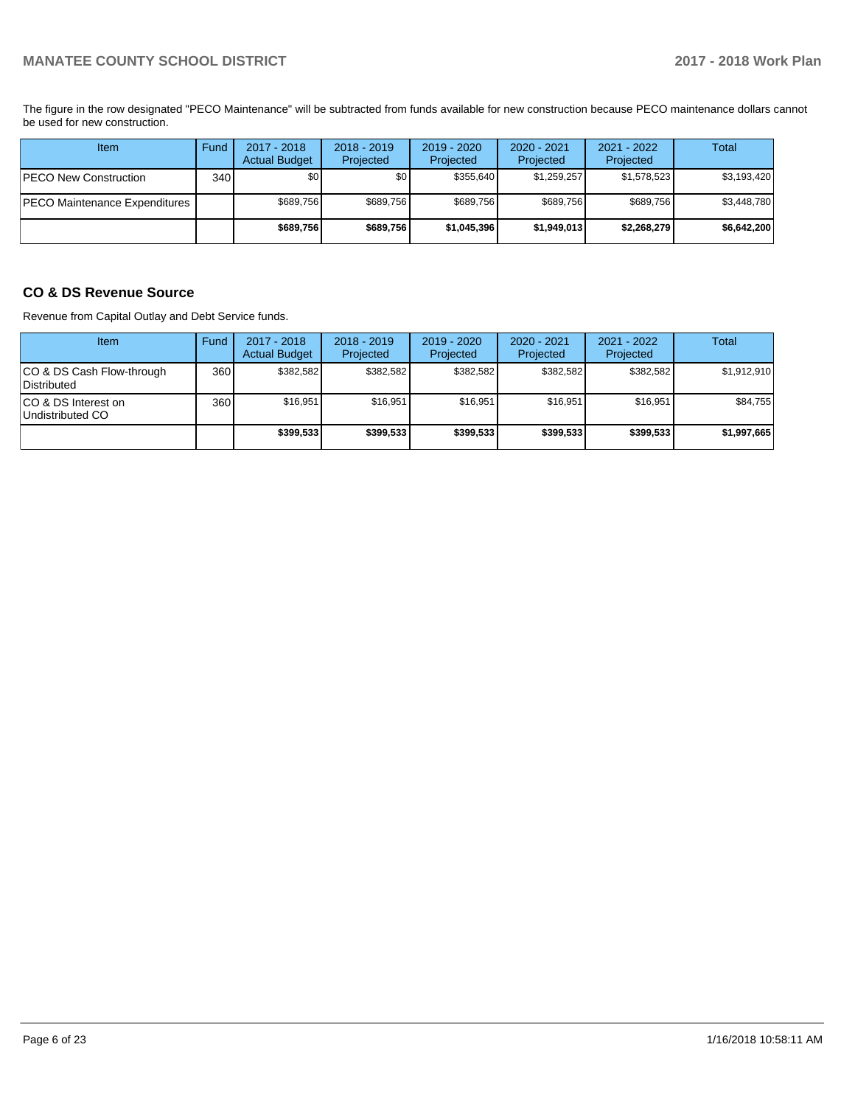The figure in the row designated "PECO Maintenance" will be subtracted from funds available for new construction because PECO maintenance dollars cannot be used for new construction.

| Item                          | Fund | $2017 - 2018$<br><b>Actual Budget</b> | $2018 - 2019$<br>Projected | 2019 - 2020<br>Projected | $2020 - 2021$<br>Projected | $2021 - 2022$<br>Projected | Total       |
|-------------------------------|------|---------------------------------------|----------------------------|--------------------------|----------------------------|----------------------------|-------------|
| <b>PECO New Construction</b>  | 340  | \$0                                   | \$0                        | \$355.640                | \$1,259,257                | \$1,578,523                | \$3,193,420 |
| PECO Maintenance Expenditures |      | \$689,756                             | \$689,756                  | \$689.756                | \$689.756                  | \$689,756                  | \$3,448,780 |
|                               |      | \$689,756                             | \$689,756                  | \$1,045,396              | \$1,949,013                | \$2,268,279                | \$6,642,200 |

## **CO & DS Revenue Source**

Revenue from Capital Outlay and Debt Service funds.

| <b>Item</b>                              | Fund | $2017 - 2018$<br><b>Actual Budget</b> | $2018 - 2019$<br>Projected | 2019 - 2020<br>Projected | $2020 - 2021$<br>Projected | $2021 - 2022$<br>Projected | <b>Total</b> |
|------------------------------------------|------|---------------------------------------|----------------------------|--------------------------|----------------------------|----------------------------|--------------|
| CO & DS Cash Flow-through<br>Distributed | 360  | \$382.582                             | \$382.582                  | \$382.582                | \$382.582                  | \$382.582                  | \$1,912,910  |
| ICO & DS Interest on<br>Undistributed CO | 360  | \$16,951                              | \$16.951                   | \$16,951                 | \$16,951                   | \$16,951                   | \$84,755     |
|                                          |      | \$399,533                             | \$399.533                  | \$399.533                | \$399.533                  | \$399.533                  | \$1,997,665  |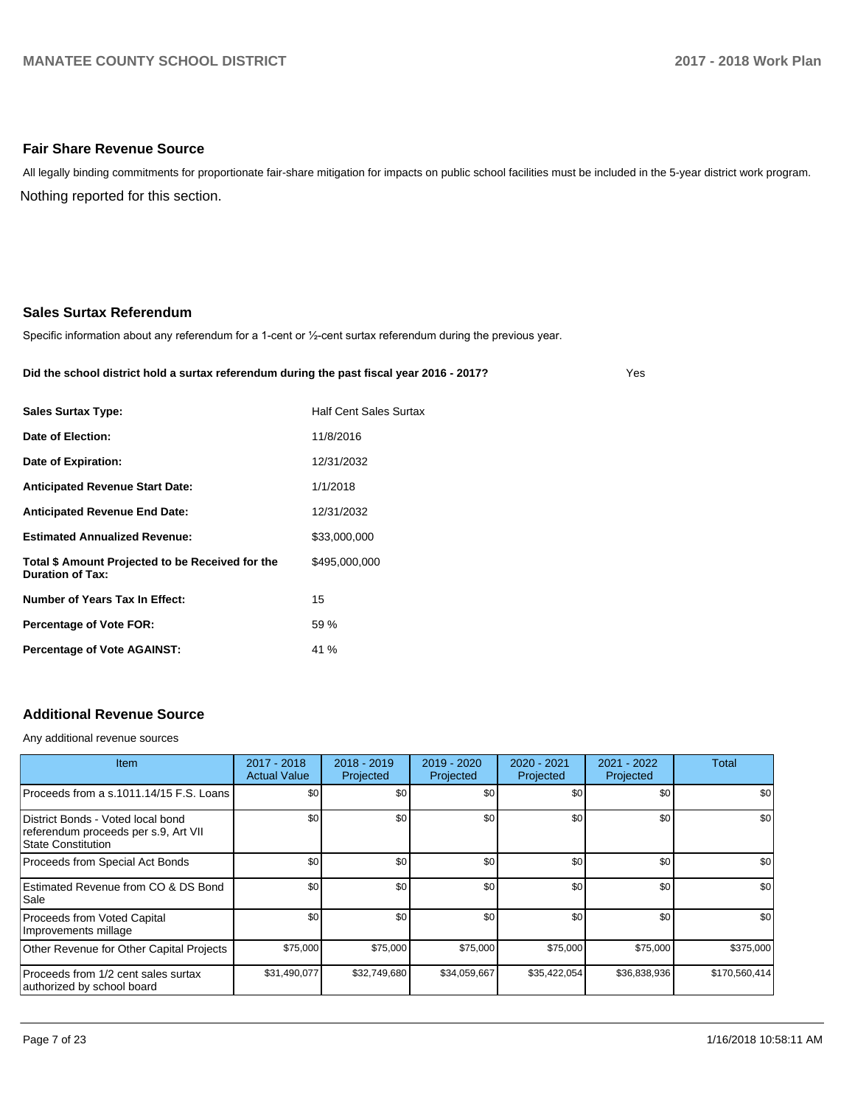#### **Fair Share Revenue Source**

Nothing reported for this section. All legally binding commitments for proportionate fair-share mitigation for impacts on public school facilities must be included in the 5-year district work program.

#### **Sales Surtax Referendum**

Specific information about any referendum for a 1-cent or 1/2-cent surtax referendum during the previous year.

#### **Did the school district hold a surtax referendum during the past fiscal year 2016 - 2017?**

Yes

| <b>Sales Surtax Type:</b>                                                   | <b>Half Cent Sales Surtax</b> |
|-----------------------------------------------------------------------------|-------------------------------|
| Date of Election:                                                           | 11/8/2016                     |
| Date of Expiration:                                                         | 12/31/2032                    |
| <b>Anticipated Revenue Start Date:</b>                                      | 1/1/2018                      |
| <b>Anticipated Revenue End Date:</b>                                        | 12/31/2032                    |
| <b>Estimated Annualized Revenue:</b>                                        | \$33,000,000                  |
| Total \$ Amount Projected to be Received for the<br><b>Duration of Tax:</b> | \$495,000,000                 |
| Number of Years Tax In Effect:                                              | 15                            |
| <b>Percentage of Vote FOR:</b>                                              | 59 %                          |
| <b>Percentage of Vote AGAINST:</b>                                          | 41 %                          |

## **Additional Revenue Source**

Any additional revenue sources

| <b>Item</b>                                                                                            | 2017 - 2018<br><b>Actual Value</b> | $2018 - 2019$<br>Projected | 2019 - 2020<br>Projected | 2020 - 2021<br>Projected | 2021 - 2022<br>Projected | Total         |
|--------------------------------------------------------------------------------------------------------|------------------------------------|----------------------------|--------------------------|--------------------------|--------------------------|---------------|
| Proceeds from a s.1011.14/15 F.S. Loans                                                                | \$0                                | \$0 <sub>1</sub>           | \$0                      | \$0                      | \$0                      | \$0           |
| District Bonds - Voted local bond<br>referendum proceeds per s.9, Art VII<br><b>State Constitution</b> | \$0                                | \$0 <sub>1</sub>           | \$0                      | \$0                      | \$0                      | \$0           |
| Proceeds from Special Act Bonds                                                                        | \$0                                | \$0 <sub>1</sub>           | \$0                      | \$0                      | \$0                      | \$0           |
| Estimated Revenue from CO & DS Bond<br>Sale                                                            | \$0                                | \$0 <sub>1</sub>           | \$0                      | \$0                      | \$0                      | \$0           |
| Proceeds from Voted Capital<br>Improvements millage                                                    | \$0                                | \$0 <sub>1</sub>           | \$0                      | \$0                      | \$0                      | \$0           |
| Other Revenue for Other Capital Projects                                                               | \$75,000                           | \$75,000                   | \$75,000                 | \$75,000                 | \$75,000                 | \$375,000     |
| Proceeds from 1/2 cent sales surtax<br>authorized by school board                                      | \$31,490,077                       | \$32,749,680               | \$34,059,667             | \$35,422,054             | \$36,838,936             | \$170,560,414 |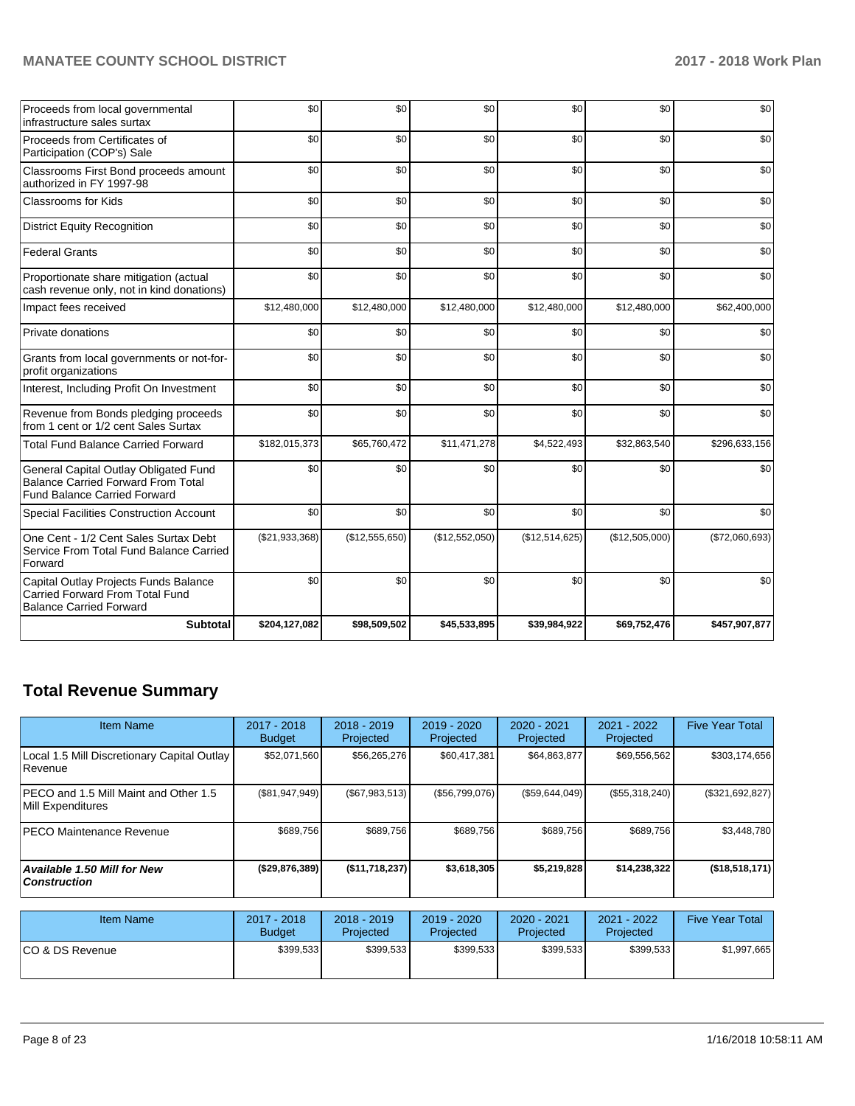| Proceeds from local governmental<br>infrastructure sales surtax                                                           | \$0            | \$0            | \$0            | \$0            | \$0            | \$0            |
|---------------------------------------------------------------------------------------------------------------------------|----------------|----------------|----------------|----------------|----------------|----------------|
| Proceeds from Certificates of<br>Participation (COP's) Sale                                                               | \$0            | \$0            | \$0            | \$0            | \$0            | \$0            |
| Classrooms First Bond proceeds amount<br>authorized in FY 1997-98                                                         | \$0            | \$0            | \$0            | \$0            | \$0            | \$0            |
| <b>Classrooms for Kids</b>                                                                                                | \$0            | \$0            | \$0            | \$0            | \$0            | \$0            |
| <b>District Equity Recognition</b>                                                                                        | \$0            | \$0            | \$0            | \$0            | \$0            | \$0            |
| <b>Federal Grants</b>                                                                                                     | \$0            | \$0            | \$0            | \$0            | \$0            | \$0            |
| Proportionate share mitigation (actual<br>cash revenue only, not in kind donations)                                       | \$0            | \$0            | \$0            | \$0            | \$0            | \$0            |
| Impact fees received                                                                                                      | \$12,480,000   | \$12,480,000   | \$12,480,000   | \$12,480,000   | \$12,480,000   | \$62,400,000   |
| Private donations                                                                                                         | \$0            | \$0            | \$0            | \$0            | \$0            | \$0            |
| Grants from local governments or not-for-<br>profit organizations                                                         | \$0            | \$0            | \$0            | \$0            | \$0            | \$0            |
| Interest, Including Profit On Investment                                                                                  | \$0            | \$0            | \$0            | \$0            | \$0            | \$0            |
| Revenue from Bonds pledging proceeds<br>from 1 cent or 1/2 cent Sales Surtax                                              | \$0            | \$0            | \$0            | \$0            | \$0            | \$0            |
| <b>Total Fund Balance Carried Forward</b>                                                                                 | \$182,015,373  | \$65,760,472   | \$11,471,278   | \$4,522,493    | \$32,863,540   | \$296,633,156  |
| General Capital Outlay Obligated Fund<br><b>Balance Carried Forward From Total</b><br><b>Fund Balance Carried Forward</b> | \$0            | \$0            | \$0            | \$0            | \$0            | \$0            |
| <b>Special Facilities Construction Account</b>                                                                            | \$0            | \$0            | \$0            | \$0            | \$0            | \$0            |
| One Cent - 1/2 Cent Sales Surtax Debt<br>Service From Total Fund Balance Carried<br>Forward                               | (\$21,933,368) | (\$12,555,650) | (\$12,552,050) | (\$12,514,625) | (\$12,505,000) | (\$72,060,693) |
| Capital Outlay Projects Funds Balance<br>Carried Forward From Total Fund<br><b>Balance Carried Forward</b>                | \$0            | \$0            | \$0            | \$0            | \$0            | \$0            |
| <b>Subtotal</b>                                                                                                           | \$204,127,082  | \$98,509,502   | \$45,533,895   | \$39,984,922   | \$69,752,476   | \$457,907,877  |

# **Total Revenue Summary**

| <b>Item Name</b>                                           | 2017 - 2018<br><b>Budget</b> | $2018 - 2019$<br>Projected        | 2019 - 2020<br>Projected          | 2020 - 2021<br>Projected          | 2021 - 2022<br>Projected          | <b>Five Year Total</b> |
|------------------------------------------------------------|------------------------------|-----------------------------------|-----------------------------------|-----------------------------------|-----------------------------------|------------------------|
| Local 1.5 Mill Discretionary Capital Outlay<br>Revenue     | \$52,071,560                 | \$56,265,276                      | \$60,417,381                      | \$64,863,877                      | \$69,556,562                      | \$303,174,656          |
| PECO and 1.5 Mill Maint and Other 1.5<br>Mill Expenditures | (S81, 947, 949)              | (S67, 983, 513)                   | (\$56,799,076)                    | (\$59,644,049)                    | (\$55,318,240)                    | (\$321,692,827)        |
| <b>PECO Maintenance Revenue</b>                            | \$689,756                    | \$689.756                         | \$689,756                         | \$689,756                         | \$689,756                         | \$3,448,780            |
| <b>Available 1.50 Mill for New</b><br><b>Construction</b>  | $($ \$29,876,389)            | (S11,718,237)                     | \$3,618,305                       | \$5,219,828                       | \$14,238,322                      | (\$18,518,171)         |
| <b>Item Name</b>                                           | 2017 - 2018<br><b>Rudget</b> | $2018 - 2019$<br><b>Projected</b> | $2019 - 2020$<br><b>Drojected</b> | $2020 - 2021$<br><b>Projected</b> | $2021 - 2022$<br><b>Drojected</b> | <b>Five Year Total</b> |

| Item Name        | 2017 - 2018<br><b>Budget</b> | $2018 - 2019$<br><b>Projected</b> | 2019 - 2020<br>Projected | 2020 - 2021<br>Projected | 2021 - 2022<br>Projected | <b>Five Year Total</b> |
|------------------|------------------------------|-----------------------------------|--------------------------|--------------------------|--------------------------|------------------------|
| ICO & DS Revenue | \$399.533                    | \$399,533                         | \$399.533                | \$399.533                | \$399,533                | \$1,997,665            |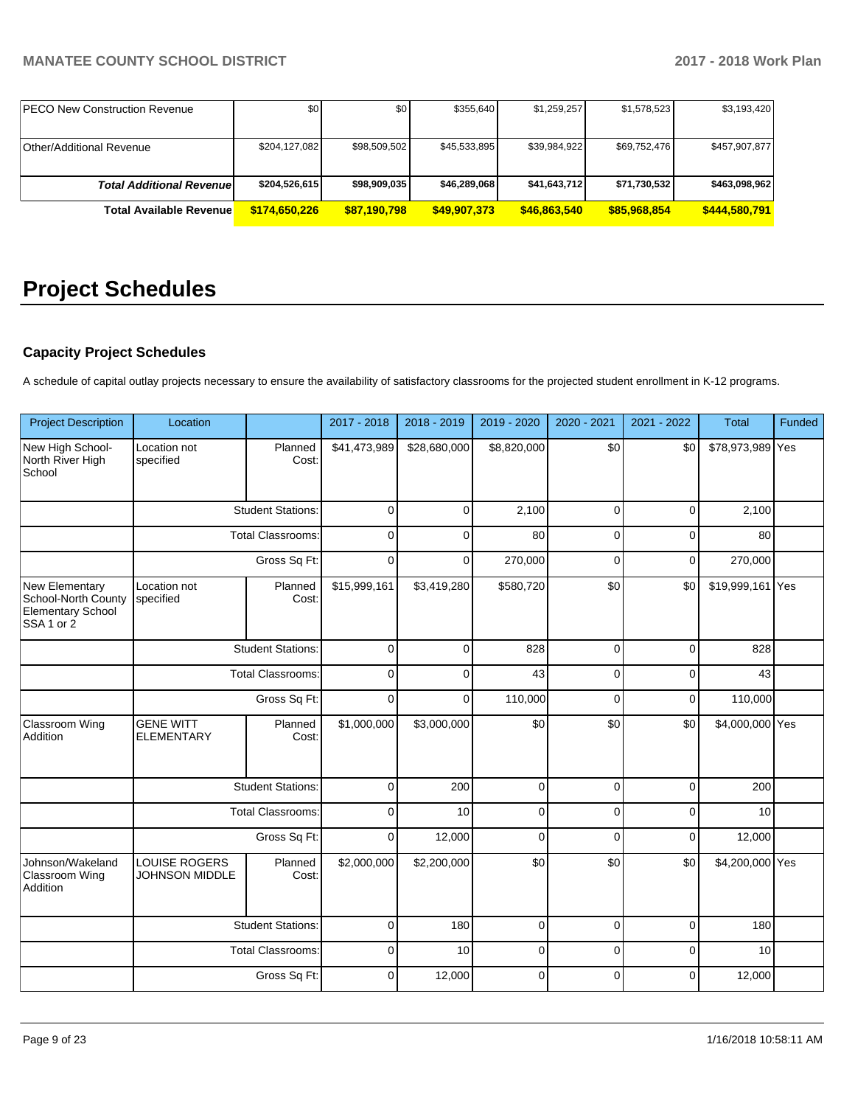| <b>IPECO New Construction Revenue</b> | \$0           | \$0 <sub>1</sub> | \$355.640    | \$1,259,257  | \$1,578,523  | \$3,193,420   |
|---------------------------------------|---------------|------------------|--------------|--------------|--------------|---------------|
|                                       |               |                  |              |              |              |               |
| <b>Other/Additional Revenue</b>       | \$204,127,082 | \$98,509,502     | \$45,533,895 | \$39.984.922 | \$69,752,476 | \$457,907,877 |
|                                       |               |                  |              |              |              |               |
| <b>Total Additional Revenuel</b>      | \$204,526,615 | \$98,909,035     | \$46,289,068 | \$41,643,712 | \$71,730,532 | \$463,098,962 |
| <b>Total Available Revenue</b>        | \$174,650,226 | \$87,190,798     | \$49,907,373 | \$46,863,540 | \$85,968,854 | \$444,580,791 |

# **Project Schedules**

## **Capacity Project Schedules**

A schedule of capital outlay projects necessary to ensure the availability of satisfactory classrooms for the projected student enrollment in K-12 programs.

| <b>Project Description</b>                                                                 | Location                                      |                          | 2017 - 2018  | 2018 - 2019  | 2019 - 2020 | 2020 - 2021 | 2021 - 2022 | Total            | Funded |
|--------------------------------------------------------------------------------------------|-----------------------------------------------|--------------------------|--------------|--------------|-------------|-------------|-------------|------------------|--------|
| New High School-<br>North River High<br>School                                             | Location not<br>specified                     | Planned<br>Cost:         | \$41,473,989 | \$28,680,000 | \$8,820,000 | \$0         | \$0         | \$78,973,989 Yes |        |
|                                                                                            |                                               | <b>Student Stations:</b> | $\Omega$     | $\Omega$     | 2,100       | $\Omega$    | $\Omega$    | 2,100            |        |
|                                                                                            |                                               | <b>Total Classrooms:</b> | $\mathbf 0$  | $\Omega$     | 80          | $\Omega$    | $\Omega$    | 80               |        |
|                                                                                            |                                               | Gross Sq Ft:             | $\mathbf 0$  | $\mathbf 0$  | 270,000     | $\mathbf 0$ | 0           | 270,000          |        |
| New Elementary<br>School-North County<br><b>Elementary School</b><br>SSA <sub>1</sub> or 2 | Location not<br>specified                     | Planned<br>Cost:         | \$15,999,161 | \$3,419,280  | \$580,720   | \$0         | \$0         | \$19,999,161 Yes |        |
|                                                                                            |                                               | <b>Student Stations:</b> | $\mathbf 0$  | $\Omega$     | 828         | $\Omega$    | 0           | 828              |        |
|                                                                                            | <b>Total Classrooms:</b><br>Gross Sq Ft:      |                          | $\mathbf 0$  | $\Omega$     | 43          | $\mathbf 0$ | $\Omega$    | 43               |        |
|                                                                                            |                                               |                          | $\mathbf 0$  | $\mathbf 0$  | 110,000     | $\mathbf 0$ | 0           | 110,000          |        |
| Classroom Wing<br>Addition                                                                 | <b>GENE WITT</b><br><b>ELEMENTARY</b>         | Planned<br>Cost:         | \$1,000,000  | \$3,000,000  | \$0         | \$0         | \$0         | \$4,000,000 Yes  |        |
|                                                                                            |                                               | <b>Student Stations:</b> | $\mathbf 0$  | 200          | $\mathbf 0$ | $\mathbf 0$ | 0           | 200              |        |
|                                                                                            |                                               | <b>Total Classrooms:</b> | $\mathbf 0$  | 10           | $\mathbf 0$ | $\Omega$    | $\Omega$    | 10               |        |
|                                                                                            |                                               | Gross Sq Ft:             | $\mathbf 0$  | 12,000       | $\mathbf 0$ | $\mathbf 0$ | 0           | 12,000           |        |
| Johnson/Wakeland<br>Classroom Wing<br>Addition                                             | <b>LOUISE ROGERS</b><br><b>JOHNSON MIDDLE</b> | Planned<br>Cost:         | \$2,000,000  | \$2,200,000  | \$0         | \$0         | \$0         | \$4,200,000 Yes  |        |
|                                                                                            |                                               | <b>Student Stations:</b> | $\mathbf 0$  | 180          | $\mathbf 0$ | $\mathbf 0$ | 0           | 180              |        |
|                                                                                            |                                               | <b>Total Classrooms:</b> | $\mathbf 0$  | 10           | $\mathbf 0$ | $\mathbf 0$ | 0           | 10               |        |
|                                                                                            |                                               | Gross Sq Ft:             | $\Omega$     | 12,000       | $\Omega$    | $\Omega$    | $\Omega$    | 12,000           |        |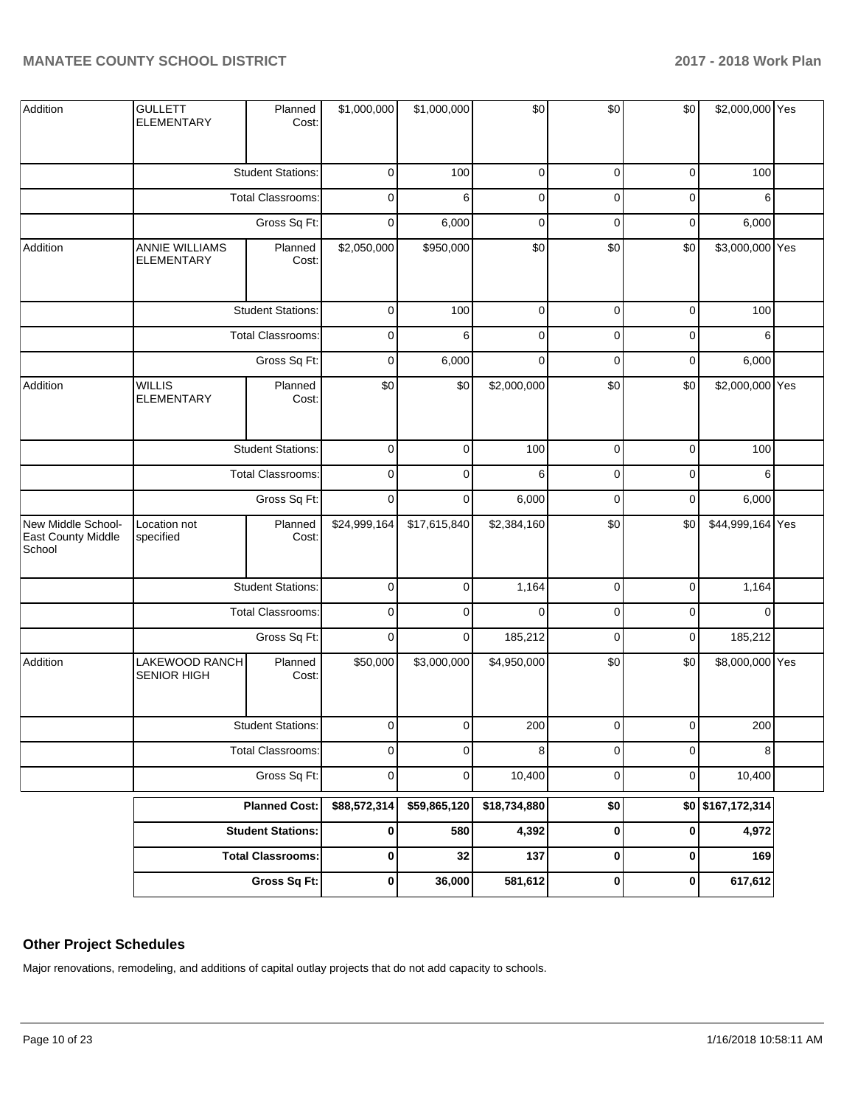| Addition                                           | <b>GULLETT</b><br><b>ELEMENTARY</b>  | Planned<br>Cost:         | \$1,000,000  | \$1,000,000    | \$0          | \$0         | \$0         | \$2,000,000 Yes   |  |
|----------------------------------------------------|--------------------------------------|--------------------------|--------------|----------------|--------------|-------------|-------------|-------------------|--|
|                                                    |                                      | <b>Student Stations:</b> | $\mathbf 0$  | 100            | $\pmb{0}$    | 0           | 0           | 100               |  |
|                                                    |                                      | Total Classrooms:        | $\mathbf 0$  | 6              | 0            | $\mathbf 0$ | 0           | 6                 |  |
|                                                    |                                      | Gross Sq Ft:             | 0            | 6,000          | 0            | 0           | 0           | 6,000             |  |
| Addition                                           | ANNIE WILLIAMS<br><b>ELEMENTARY</b>  | Planned<br>Cost:         | \$2,050,000  | \$950,000      | \$0          | \$0         | \$0         | \$3,000,000 Yes   |  |
|                                                    |                                      | <b>Student Stations:</b> | $\mathbf 0$  | 100            | $\pmb{0}$    | $\mathbf 0$ | $\mathbf 0$ | 100               |  |
|                                                    |                                      | Total Classrooms:        | $\mathbf 0$  | 6              | $\pmb{0}$    | $\mathbf 0$ | $\mathbf 0$ | 6                 |  |
|                                                    |                                      | Gross Sq Ft:             | $\mathbf 0$  | 6,000          | $\mathbf 0$  | $\mathbf 0$ | 0           | 6,000             |  |
| Addition                                           | <b>WILLIS</b><br><b>ELEMENTARY</b>   | Planned<br>Cost:         | \$0          | \$0            | \$2,000,000  | \$0         | \$0         | \$2,000,000 Yes   |  |
|                                                    |                                      | <b>Student Stations:</b> | $\mathbf 0$  | $\mathbf 0$    | 100          | 0           | 0           | 100               |  |
|                                                    | Total Classrooms:                    |                          | $\mathbf 0$  | $\mathbf 0$    | 6            | 0           | 0           | 6                 |  |
|                                                    |                                      |                          | 0            | 0              | 6,000        | 0           | 0           | 6,000             |  |
| New Middle School-<br>East County Middle<br>School | Location not<br>specified            | Planned<br>Cost:         | \$24,999,164 | \$17,615,840   | \$2,384,160  | \$0         | \$0         | \$44,999,164 Yes  |  |
|                                                    |                                      | <b>Student Stations:</b> | $\mathbf 0$  | $\pmb{0}$      | 1,164        | $\pmb{0}$   | $\mathbf 0$ | 1,164             |  |
|                                                    |                                      | Total Classrooms:        | $\mathbf 0$  | $\mathbf 0$    | $\mathbf 0$  | $\mathbf 0$ | 0           | $\mathbf 0$       |  |
|                                                    |                                      | Gross Sq Ft:             | $\mathbf 0$  | $\pmb{0}$      | 185,212      | $\pmb{0}$   | $\mathbf 0$ | 185,212           |  |
| Addition                                           | LAKEWOOD RANCH<br><b>SENIOR HIGH</b> | Planned<br>Cost:         | \$50,000     | \$3,000,000    | \$4,950,000  | \$0         | \$0         | \$8,000,000 Yes   |  |
|                                                    |                                      | <b>Student Stations:</b> | $\mathbf{0}$ | $\overline{0}$ | 200          | $\mathbf 0$ | $\mathbf 0$ | 200               |  |
|                                                    |                                      | <b>Total Classrooms:</b> | $\mathbf 0$  | $\pmb{0}$      | 8            | 0           | 0           | 8                 |  |
|                                                    |                                      | Gross Sq Ft:             | $\mathbf 0$  | 0              | 10,400       | $\pmb{0}$   | 0           | 10,400            |  |
|                                                    |                                      | <b>Planned Cost:</b>     | \$88,572,314 | \$59,865,120   | \$18,734,880 | \$0         |             | \$0 \$167,172,314 |  |
|                                                    |                                      | <b>Student Stations:</b> | 0            | 580            | 4,392        | $\pmb{0}$   | $\pmb{0}$   | 4,972             |  |
|                                                    |                                      | <b>Total Classrooms:</b> | $\pmb{0}$    | 32             | 137          | $\pmb{0}$   | $\pmb{0}$   | 169               |  |
|                                                    |                                      | <b>Gross Sq Ft:</b>      | $\pmb{0}$    | 36,000         | 581,612      | $\pmb{0}$   | $\pmb{0}$   | 617,612           |  |

## **Other Project Schedules**

Major renovations, remodeling, and additions of capital outlay projects that do not add capacity to schools.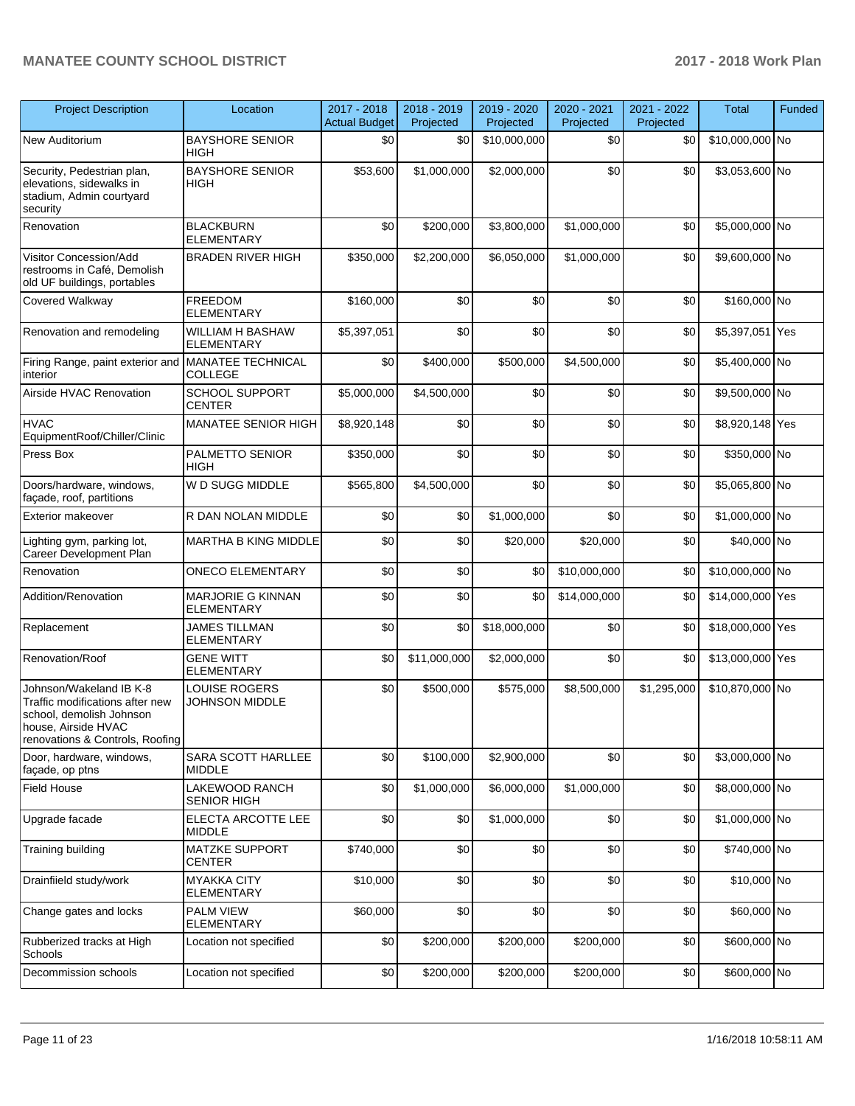| <b>Project Description</b>                                                                                                                       | Location                                      | 2017 - 2018<br><b>Actual Budget</b> | 2018 - 2019<br>Projected | 2019 - 2020<br>Projected | $2020 - 2021$<br>Projected | 2021 - 2022<br>Projected | <b>Total</b>     | Funded |
|--------------------------------------------------------------------------------------------------------------------------------------------------|-----------------------------------------------|-------------------------------------|--------------------------|--------------------------|----------------------------|--------------------------|------------------|--------|
| New Auditorium                                                                                                                                   | <b>BAYSHORE SENIOR</b><br><b>HIGH</b>         | \$0                                 | \$0                      | \$10,000,000             | \$0                        | \$0                      | \$10,000,000 No  |        |
| Security, Pedestrian plan,<br>elevations, sidewalks in<br>stadium, Admin courtyard<br>security                                                   | <b>BAYSHORE SENIOR</b><br><b>HIGH</b>         | \$53,600                            | \$1,000,000              | \$2,000,000              | \$0                        | \$0                      | \$3,053,600 No   |        |
| Renovation                                                                                                                                       | <b>BLACKBURN</b><br><b>ELEMENTARY</b>         | \$0                                 | \$200,000                | \$3,800,000              | \$1,000,000                | \$0                      | \$5,000,000 No   |        |
| Visitor Concession/Add<br>restrooms in Café, Demolish<br>old UF buildings, portables                                                             | <b>BRADEN RIVER HIGH</b>                      | \$350,000                           | \$2,200,000              | \$6,050,000              | \$1,000,000                | \$0                      | \$9,600,000 No   |        |
| Covered Walkway                                                                                                                                  | <b>FREEDOM</b><br><b>ELEMENTARY</b>           | \$160,000                           | \$0                      | \$0                      | \$0                        | \$0                      | \$160,000 No     |        |
| Renovation and remodeling                                                                                                                        | <b>WILLIAM H BASHAW</b><br><b>ELEMENTARY</b>  | \$5,397,051                         | \$0                      | \$0                      | \$0                        | \$0                      | \$5,397,051 Yes  |        |
| Firing Range, paint exterior and MANATEE TECHNICAL<br>interior                                                                                   | <b>COLLEGE</b>                                | \$0                                 | \$400,000                | \$500,000                | \$4,500,000                | \$0                      | \$5,400,000 No   |        |
| Airside HVAC Renovation                                                                                                                          | <b>SCHOOL SUPPORT</b><br><b>CENTER</b>        | \$5,000,000                         | \$4,500,000              | \$0                      | \$0                        | \$0                      | \$9,500,000 No   |        |
| <b>HVAC</b><br>EquipmentRoof/Chiller/Clinic                                                                                                      | MANATEE SENIOR HIGH                           | \$8,920,148                         | \$0                      | \$0                      | \$0                        | \$0                      | \$8,920,148 Yes  |        |
| Press Box                                                                                                                                        | PALMETTO SENIOR<br><b>HIGH</b>                | \$350,000                           | \$0                      | \$0                      | \$0                        | \$0                      | \$350,000 No     |        |
| Doors/hardware, windows,<br>façade, roof, partitions                                                                                             | W D SUGG MIDDLE                               | \$565,800                           | \$4,500,000              | \$0                      | \$0                        | \$0                      | \$5,065,800 No   |        |
| Exterior makeover                                                                                                                                | R DAN NOLAN MIDDLE                            | \$0                                 | \$0                      | \$1,000,000              | \$0                        | \$0                      | \$1,000,000 No   |        |
| Lighting gym, parking lot,<br>Career Development Plan                                                                                            | MARTHA B KING MIDDLE                          | \$0                                 | \$0                      | \$20,000                 | \$20,000                   | \$0                      | \$40,000 No      |        |
| Renovation                                                                                                                                       | <b>ONECO ELEMENTARY</b>                       | \$0                                 | \$0                      | \$0                      | \$10,000,000               | \$0                      | \$10,000,000 No  |        |
| Addition/Renovation                                                                                                                              | MARJORIE G KINNAN<br><b>ELEMENTARY</b>        | \$0                                 | \$0                      | \$0                      | \$14,000,000               | \$0                      | \$14,000,000 Yes |        |
| Replacement                                                                                                                                      | JAMES TILLMAN<br>ELEMENTARY                   | \$0                                 | \$0                      | \$18,000,000             | \$0                        | \$0                      | \$18,000,000 Yes |        |
| Renovation/Roof                                                                                                                                  | <b>GENE WITT</b><br><b>ELEMENTARY</b>         | \$0                                 | \$11,000,000             | \$2,000,000              | \$0                        | \$0                      | \$13,000,000 Yes |        |
| Johnson/Wakeland IB K-8<br>Traffic modifications after new<br>school, demolish Johnson<br>house, Airside HVAC<br>renovations & Controls, Roofing | <b>LOUISE ROGERS</b><br><b>JOHNSON MIDDLE</b> | \$0                                 | \$500,000                | \$575,000                | \$8,500,000                | \$1,295,000              | \$10,870,000 No  |        |
| Door, hardware, windows,<br>façade, op ptns                                                                                                      | SARA SCOTT HARLLEE<br><b>MIDDLE</b>           | \$0                                 | \$100,000                | \$2,900,000              | \$0                        | \$0                      | \$3,000,000 No   |        |
| <b>Field House</b>                                                                                                                               | LAKEWOOD RANCH<br><b>SENIOR HIGH</b>          | \$0                                 | \$1,000,000              | \$6,000,000              | \$1,000,000                | \$0                      | \$8,000,000 No   |        |
| Upgrade facade                                                                                                                                   | ELECTA ARCOTTE LEE<br><b>MIDDLE</b>           | \$0                                 | \$0                      | \$1,000,000              | \$0                        | \$0                      | \$1,000,000 No   |        |
| Training building                                                                                                                                | <b>MATZKE SUPPORT</b><br><b>CENTER</b>        | \$740,000                           | \$0                      | \$0                      | \$0                        | \$0                      | \$740,000 No     |        |
| Drainfiield study/work                                                                                                                           | <b>MYAKKA CITY</b><br>ELEMENTARY              | \$10,000                            | \$0                      | \$0                      | \$0                        | \$0                      | \$10,000 No      |        |
| Change gates and locks                                                                                                                           | PALM VIEW<br><b>ELEMENTARY</b>                | \$60,000                            | \$0                      | \$0                      | \$0                        | \$0                      | \$60,000 No      |        |
| Rubberized tracks at High<br>Schools                                                                                                             | Location not specified                        | \$0                                 | \$200,000                | \$200,000                | \$200,000                  | \$0                      | \$600,000 No     |        |
| Decommission schools                                                                                                                             | Location not specified                        | \$0                                 | \$200,000                | \$200,000                | \$200,000                  | \$0                      | \$600,000 No     |        |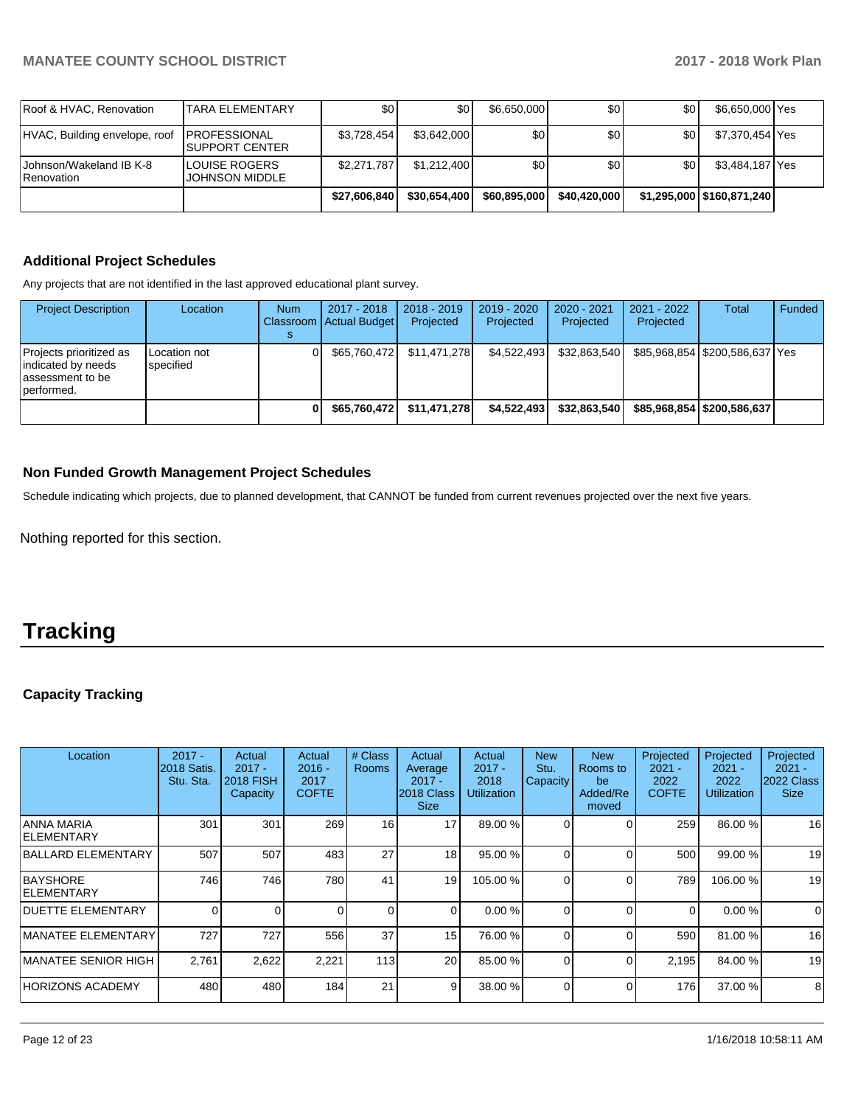| Roof & HVAC, Renovation               | <b>TARA ELEMENTARY</b>                          | \$0          | \$0          | \$6,650,000  | \$٥Ι         | \$0 | \$6,650,000 Yes             |  |
|---------------------------------------|-------------------------------------------------|--------------|--------------|--------------|--------------|-----|-----------------------------|--|
| HVAC, Building envelope, roof         | <b>IPROFESSIONAL</b><br>ISUPPORT CENTER         | \$3.728.454  | \$3.642.000  | \$0          | \$٥Ι         | \$0 | \$7,370,454 Yes             |  |
| Johnson/Wakeland IB K-8<br>Renovation | <b>I</b> LOUISE ROGERS<br><b>JOHNSON MIDDLE</b> | \$2,271,787  | \$1.212.400  | \$0          | \$0          | \$0 | \$3,484,187 Yes             |  |
|                                       |                                                 | \$27.606.840 | \$30,654,400 | \$60,895,000 | \$40,420,000 |     | \$1,295,000   \$160,871,240 |  |

## **Additional Project Schedules**

Any projects that are not identified in the last approved educational plant survey.

| <b>Project Description</b>                                                        | Location                  | <b>Num</b> | 2017 - 2018<br><b>Classroom Actual Budget</b> | $2018 - 2019$<br>Projected | 2019 - 2020<br>Projected | 2020 - 2021<br>Projected | 2021 - 2022<br>Projected | <b>Total</b>                   | Funded |
|-----------------------------------------------------------------------------------|---------------------------|------------|-----------------------------------------------|----------------------------|--------------------------|--------------------------|--------------------------|--------------------------------|--------|
| Projects prioritized as<br>indicated by needs<br>lassessment to be<br>lperformed. | Location not<br>specified |            | \$65.760.472                                  | \$11.471.278               | \$4.522.493              | \$32.863.540             |                          | \$85,968,854 \$200,586,637 Yes |        |
|                                                                                   |                           |            | \$65,760,472                                  | \$11,471,278               | \$4,522,493              | \$32,863,540             |                          | \$85.968.854 \$200.586.637     |        |

### **Non Funded Growth Management Project Schedules**

Schedule indicating which projects, due to planned development, that CANNOT be funded from current revenues projected over the next five years.

Nothing reported for this section.

# **Tracking**

## **Capacity Tracking**

| Location                         | $2017 -$<br>2018 Satis.<br>Stu. Sta. | Actual<br>$2017 -$<br><b>2018 FISH</b><br>Capacity | Actual<br>$2016 -$<br>2017<br><b>COFTE</b> | # Class<br><b>Rooms</b> | Actual<br>Average<br>$2017 -$<br>2018 Class<br><b>Size</b> | Actual<br>$2017 -$<br>2018<br><b>Utilization</b> | <b>New</b><br>Stu.<br>Capacity | <b>New</b><br>Rooms to<br>be<br>Added/Re<br>moved | Projected<br>$2021 -$<br>2022<br><b>COFTE</b> | Projected<br>$2021 -$<br>2022<br>Utilization | Projected<br>$2021 -$<br>2022 Class<br><b>Size</b> |
|----------------------------------|--------------------------------------|----------------------------------------------------|--------------------------------------------|-------------------------|------------------------------------------------------------|--------------------------------------------------|--------------------------------|---------------------------------------------------|-----------------------------------------------|----------------------------------------------|----------------------------------------------------|
| ANNA MARIA<br><b>IELEMENTARY</b> | 301                                  | 301                                                | 269                                        | 16 <sub>1</sub>         | 17                                                         | 89.00 %                                          |                                |                                                   | 259                                           | 86.00 %                                      | 16                                                 |
| BALLARD ELEMENTARY               | 507                                  | 507                                                | 483                                        | 27                      | 18                                                         | 95.00 %                                          |                                |                                                   | 500                                           | 99.00 %                                      | 19                                                 |
| <b>BAYSHORE</b><br>ELEMENTARY    | 746                                  | 746                                                | 780                                        | 41                      | 19                                                         | 105.00 %                                         |                                |                                                   | 789                                           | 106.00 %                                     | 19                                                 |
| <b>DUETTE ELEMENTARY</b>         | $\Omega$                             | $\Omega$                                           |                                            | $\Omega$                | $\Omega$                                                   | 0.00%                                            | $\Omega$                       | $\Omega$                                          | 0                                             | 0.00%                                        | $\Omega$                                           |
| MANATEE ELEMENTARY               | 727                                  | 727                                                | 556                                        | 37                      | 15 <sup>1</sup>                                            | 76.00 %                                          | 0                              | $\Omega$                                          | 590                                           | 81.00 %                                      | 16                                                 |
| IMANATEE SENIOR HIGH             | 2,761                                | 2,622                                              | 2,221                                      | 113                     | 20                                                         | 85.00 %                                          | $\Omega$                       | 0                                                 | 2,195                                         | 84.00 %                                      | 19                                                 |
| <b>HORIZONS ACADEMY</b>          | 480                                  | 480                                                | 184                                        | 21                      | 9                                                          | 38.00 %                                          | 0                              | 0                                                 | 176                                           | 37.00 %                                      | 8                                                  |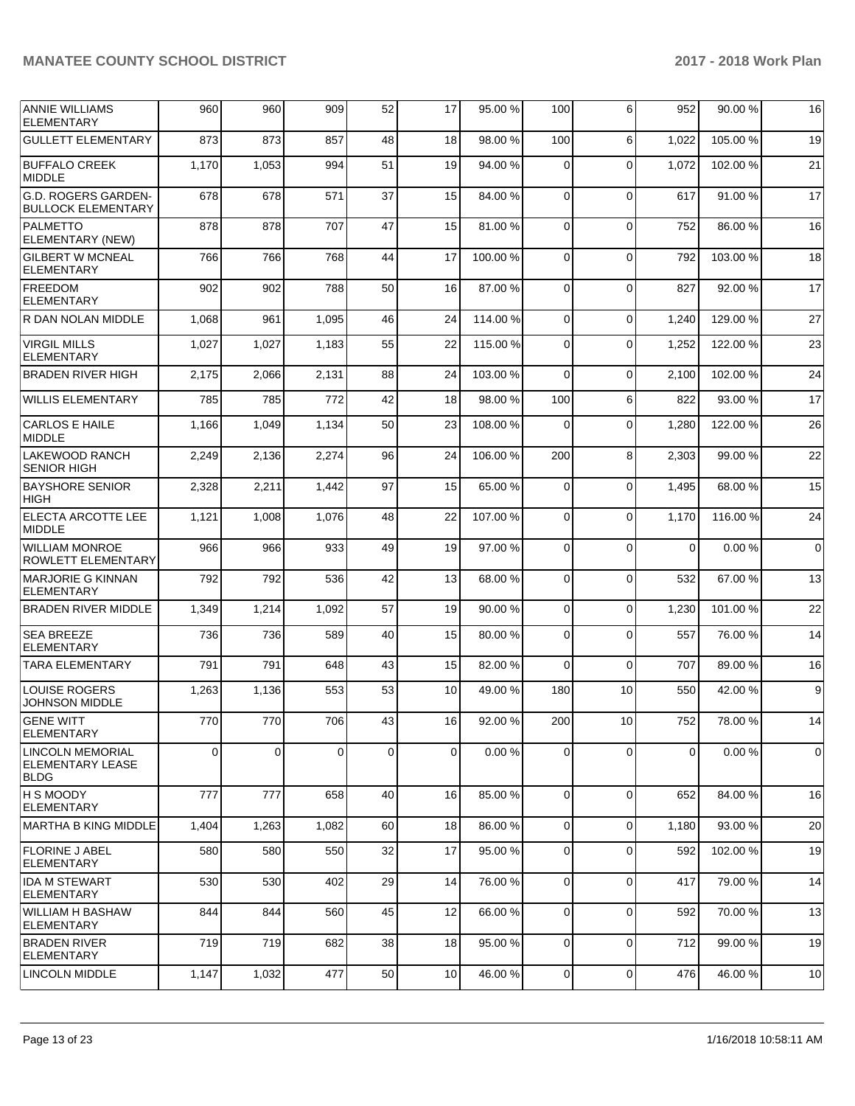| <b>ANNIE WILLIAMS</b><br><b>ELEMENTARY</b>          | 960   | 960   | 909      | 52              | 17              | 95.00 %  | 100              | 6               | 952          | 90.00 %  | 16          |
|-----------------------------------------------------|-------|-------|----------|-----------------|-----------------|----------|------------------|-----------------|--------------|----------|-------------|
| <b>GULLETT ELEMENTARY</b>                           | 873   | 873   | 857      | 48              | 18              | 98.00 %  | 100              | 6               | 1,022        | 105.00 % | 19          |
| <b>BUFFALO CREEK</b><br>MIDDLE                      | 1,170 | 1,053 | 994      | 51              | 19              | 94.00 %  | $\Omega$         | $\Omega$        | 1,072        | 102.00%  | 21          |
| G.D. ROGERS GARDEN-<br><b>BULLOCK ELEMENTARY</b>    | 678   | 678   | 571      | 37              | 15              | 84.00 %  | $\Omega$         | $\Omega$        | 617          | 91.00%   | 17          |
| PALMETTO<br>ELEMENTARY (NEW)                        | 878   | 878   | 707      | 47              | 15              | 81.00%   | 0                | $\mathbf 0$     | 752          | 86.00 %  | 16          |
| <b>GILBERT W MCNEAL</b><br><b>ELEMENTARY</b>        | 766   | 766   | 768      | 44              | 17              | 100.00%  | $\Omega$         | $\Omega$        | 792          | 103.00 % | 18          |
| <b>FREEDOM</b><br><b>ELEMENTARY</b>                 | 902   | 902   | 788      | 50              | 16              | 87.00 %  | $\Omega$         | $\Omega$        | 827          | 92.00 %  | 17          |
| R DAN NOLAN MIDDLE                                  | 1,068 | 961   | 1,095    | 46              | 24              | 114.00 % | $\mathbf 0$      | $\Omega$        | 1,240        | 129.00%  | 27          |
| <b>VIRGIL MILLS</b><br><b>ELEMENTARY</b>            | 1,027 | 1,027 | 1,183    | 55              | 22              | 115.00 % | 0                | $\Omega$        | 1,252        | 122.00%  | 23          |
| <b>BRADEN RIVER HIGH</b>                            | 2,175 | 2,066 | 2,131    | 88              | 24              | 103.00 % | $\Omega$         | $\Omega$        | 2,100        | 102.00%  | 24          |
| <b>WILLIS ELEMENTARY</b>                            | 785   | 785   | 772      | 42              | 18              | 98.00 %  | 100              | 6               | 822          | 93.00 %  | 17          |
| <b>CARLOS E HAILE</b><br>MIDDLE                     | 1,166 | 1,049 | 1,134    | 50              | 23              | 108.00%  | $\Omega$         | $\Omega$        | 1,280        | 122.00%  | 26          |
| LAKEWOOD RANCH<br><b>SENIOR HIGH</b>                | 2,249 | 2,136 | 2,274    | 96              | 24              | 106.00%  | 200              | 8               | 2,303        | 99.00 %  | 22          |
| <b>BAYSHORE SENIOR</b><br>HIGH                      | 2,328 | 2,211 | 1,442    | 97              | 15              | 65.00 %  | 0                | $\Omega$        | 1,495        | 68.00 %  | 15          |
| <b>ELECTA ARCOTTE LEE</b><br><b>MIDDLE</b>          | 1,121 | 1,008 | 1,076    | 48              | 22              | 107.00%  | $\Omega$         | $\Omega$        | 1,170        | 116.00 % | 24          |
| <b>WILLIAM MONROE</b><br>ROWLETT ELEMENTARY         | 966   | 966   | 933      | 49              | 19              | 97.00 %  | $\Omega$         | $\Omega$        | $\mathbf{0}$ | 0.00%    | $\mathbf 0$ |
| <b>MARJORIE G KINNAN</b><br><b>ELEMENTARY</b>       | 792   | 792   | 536      | 42              | 13              | 68.00 %  | 0                | $\mathbf 0$     | 532          | 67.00 %  | 13          |
| <b>BRADEN RIVER MIDDLE</b>                          | 1,349 | 1,214 | 1,092    | 57              | 19              | 90.00 %  | $\mathbf 0$      | $\Omega$        | 1,230        | 101.00%  | 22          |
| <b>SEA BREEZE</b><br><b>ELEMENTARY</b>              | 736   | 736   | 589      | 40              | 15              | 80.00 %  | $\Omega$         | $\Omega$        | 557          | 76.00 %  | 14          |
| <b>TARA ELEMENTARY</b>                              | 791   | 791   | 648      | 43              | 15              | 82.00 %  | $\Omega$         | $\Omega$        | 707          | 89.00 %  | 16          |
| <b>LOUISE ROGERS</b><br><b>JOHNSON MIDDLE</b>       | 1,263 | 1,136 | 553      | 53              | 10              | 49.00 %  | 180              | 10              | 550          | 42.00 %  | 9           |
| <b>GENE WITT</b><br> ELEMENTARY                     | 770   | 770   | 706      | 43 <sub>l</sub> | 16 <sup>1</sup> | 92.00 %  | 200 <sup>1</sup> | 10 <sup>1</sup> | 752          | 78.00 %  | 14          |
| LINCOLN MEMORIAL<br><b>ELEMENTARY LEASE</b><br>BLDG | 0     | 0     | $\Omega$ | $\mathbf 0$     | $\Omega$        | 0.00%    | $\mathbf 0$      | $\Omega$        | 0            | 0.00%    | 0           |
| <b>H S MOODY</b><br><b>IELEMENTARY</b>              | 777   | 777   | 658      | 40              | 16              | 85.00 %  | $\Omega$         | $\Omega$        | 652          | 84.00 %  | 16          |
| MARTHA B KING MIDDLE                                | 1,404 | 1,263 | 1,082    | 60              | 18              | 86.00 %  | $\mathbf 0$      | $\mathbf 0$     | 1,180        | 93.00 %  | 20          |
| FLORINE J ABEL<br><b>ELEMENTARY</b>                 | 580   | 580   | 550      | 32              | 17              | 95.00 %  | 0                | $\mathbf 0$     | 592          | 102.00 % | 19          |
| <b>IDA M STEWART</b><br><b>ELEMENTARY</b>           | 530   | 530   | 402      | 29              | 14              | 76.00 %  | 0                | $\mathbf 0$     | 417          | 79.00 %  | 14          |
| <b>WILLIAM H BASHAW</b><br><b>ELEMENTARY</b>        | 844   | 844   | 560      | 45              | 12              | 66.00 %  | $\Omega$         | $\Omega$        | 592          | 70.00 %  | 13          |
| <b>BRADEN RIVER</b><br>ELEMENTARY                   | 719   | 719   | 682      | 38              | 18              | 95.00 %  | 0                | $\mathbf 0$     | 712          | 99.00 %  | 19          |
| <b>LINCOLN MIDDLE</b>                               | 1,147 | 1,032 | 477      | 50              | 10              | 46.00 %  | 0                | $\mathbf 0$     | 476          | 46.00 %  | 10          |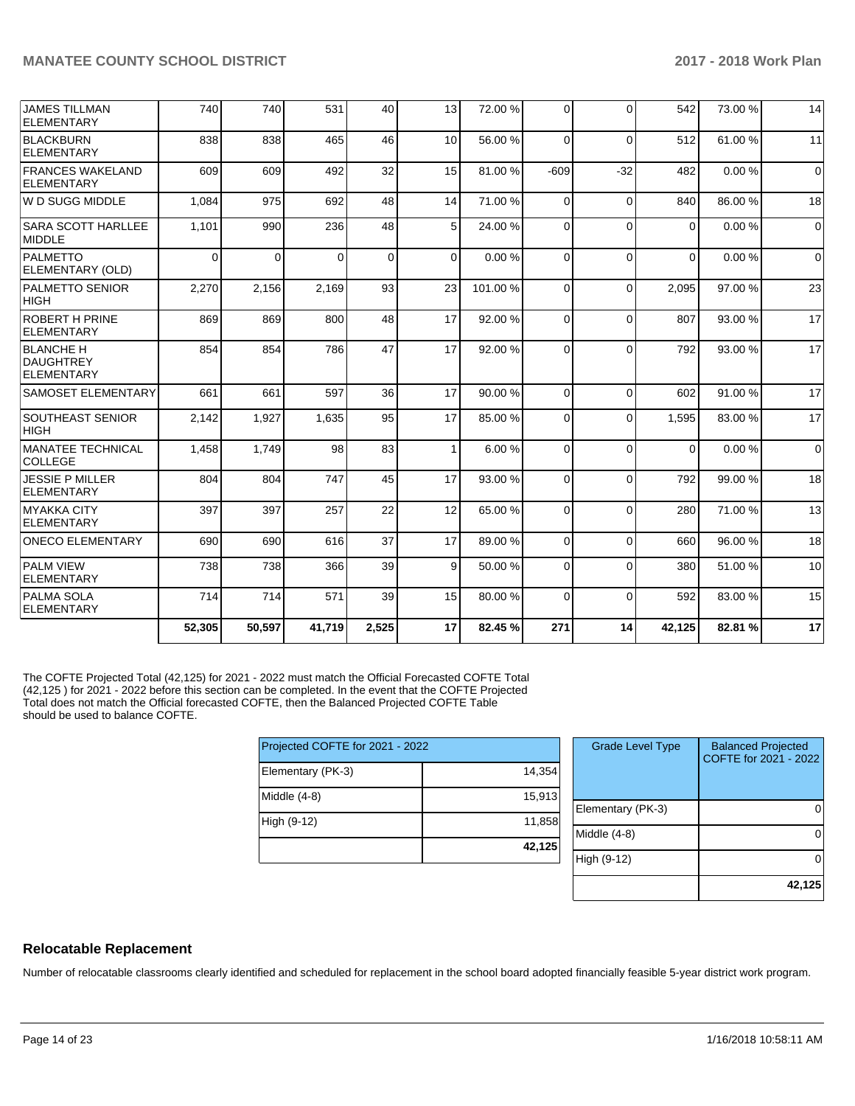| <b>JAMES TILLMAN</b><br>ELEMENTARY                        | 740    | 740      | 531      | 40          | 13              | 72.00 % | $\Omega$ | $\Omega$ | 542      | 73.00 % | 14          |
|-----------------------------------------------------------|--------|----------|----------|-------------|-----------------|---------|----------|----------|----------|---------|-------------|
| BLACKBURN<br>ELEMENTARY                                   | 838    | 838      | 465      | 46          | 10 <sup>1</sup> | 56.00 % | $\Omega$ | $\Omega$ | 512      | 61.00%  | 11          |
| <b>FRANCES WAKELAND</b><br>ELEMENTARY                     | 609    | 609      | 492      | 32          | 15              | 81.00%  | $-609$   | $-32$    | 482      | 0.00%   | $\mathbf 0$ |
| lw D SUGG MIDDLE                                          | 1,084  | 975      | 692      | 48          | 14              | 71.00 % | $\Omega$ | $\Omega$ | 840      | 86.00 % | 18          |
| <b>SARA SCOTT HARLLEE</b><br><b>MIDDLE</b>                | 1,101  | 990      | 236      | 48          | 5 <sup>1</sup>  | 24.00 % | $\Omega$ | $\Omega$ | $\Omega$ | 0.00%   | $\mathbf 0$ |
| PALMETTO<br>ELEMENTARY (OLD)                              | 0      | $\Omega$ | $\Omega$ | $\mathbf 0$ | $\Omega$        | 0.00%   | $\Omega$ | $\Omega$ | $\Omega$ | 0.00%   | $\mathbf 0$ |
| <b>PALMETTO SENIOR</b><br> HIGH                           | 2,270  | 2,156    | 2,169    | 93          | 23              | 101.00% | $\Omega$ | $\Omega$ | 2,095    | 97.00 % | 23          |
| <b>ROBERT H PRINE</b><br>ELEMENTARY                       | 869    | 869      | 800      | 48          | 17              | 92.00 % | $\Omega$ | $\Omega$ | 807      | 93.00 % | 17          |
| <b>BLANCHE H</b><br><b>DAUGHTREY</b><br><b>ELEMENTARY</b> | 854    | 854      | 786      | 47          | 17              | 92.00 % | $\Omega$ | $\Omega$ | 792      | 93.00 % | 17          |
| <b>SAMOSET ELEMENTARY</b>                                 | 661    | 661      | 597      | 36          | 17              | 90.00 % | $\Omega$ | $\Omega$ | 602      | 91.00%  | 17          |
| <b>SOUTHEAST SENIOR</b><br> HIGH                          | 2,142  | 1,927    | 1,635    | 95          | 17              | 85.00 % | $\Omega$ | $\Omega$ | 1,595    | 83.00 % | 17          |
| <b>IMANATEE TECHNICAL</b><br><b>COLLEGE</b>               | 1,458  | 1,749    | 98       | 83          | 1 <sup>1</sup>  | 6.00%   | $\Omega$ | $\Omega$ | $\Omega$ | 0.00%   | $\mathbf 0$ |
| JESSIE P MILLER<br>ELEMENTARY                             | 804    | 804      | 747      | 45          | 17              | 93.00 % | $\Omega$ | $\Omega$ | 792      | 99.00 % | 18          |
| MYAKKA CITY<br>ELEMENTARY                                 | 397    | 397      | 257      | 22          | 12              | 65.00 % | $\Omega$ | $\Omega$ | 280      | 71.00 % | 13          |
| <b>ONECO ELEMENTARY</b>                                   | 690    | 690      | 616      | 37          | 17              | 89.00 % | $\Omega$ | $\Omega$ | 660      | 96.00 % | 18          |
| <b>PALM VIEW</b><br><b>ELEMENTARY</b>                     | 738    | 738      | 366      | 39          | 9               | 50.00 % | $\Omega$ | $\Omega$ | 380      | 51.00 % | 10          |
| <b>PALMA SOLA</b><br>ELEMENTARY                           | 714    | 714      | 571      | 39          | 15              | 80.00 % | $\Omega$ | $\Omega$ | 592      | 83.00 % | 15          |
|                                                           | 52,305 | 50,597   | 41,719   | 2,525       | 17              | 82.45%  | 271      | 14       | 42,125   | 82.81%  | 17          |

The COFTE Projected Total (42,125) for 2021 - 2022 must match the Official Forecasted COFTE Total (42,125 ) for 2021 - 2022 before this section can be completed. In the event that the COFTE Projected Total does not match the Official forecasted COFTE, then the Balanced Projected COFTE Table should be used to balance COFTE.

| Projected COFTE for 2021 - 2022 |        |  |  |  |  |  |
|---------------------------------|--------|--|--|--|--|--|
| Elementary (PK-3)               | 14.354 |  |  |  |  |  |
| Middle (4-8)                    | 15,913 |  |  |  |  |  |
| High (9-12)                     | 11,858 |  |  |  |  |  |
|                                 | 42,125 |  |  |  |  |  |

| <b>Grade Level Type</b> | <b>Balanced Projected</b><br>COFTE for 2021 - 2022 |
|-------------------------|----------------------------------------------------|
| Elementary (PK-3)       |                                                    |
| Middle (4-8)            |                                                    |
| High (9-12)             |                                                    |
|                         | 42,125                                             |

## **Relocatable Replacement**

Number of relocatable classrooms clearly identified and scheduled for replacement in the school board adopted financially feasible 5-year district work program.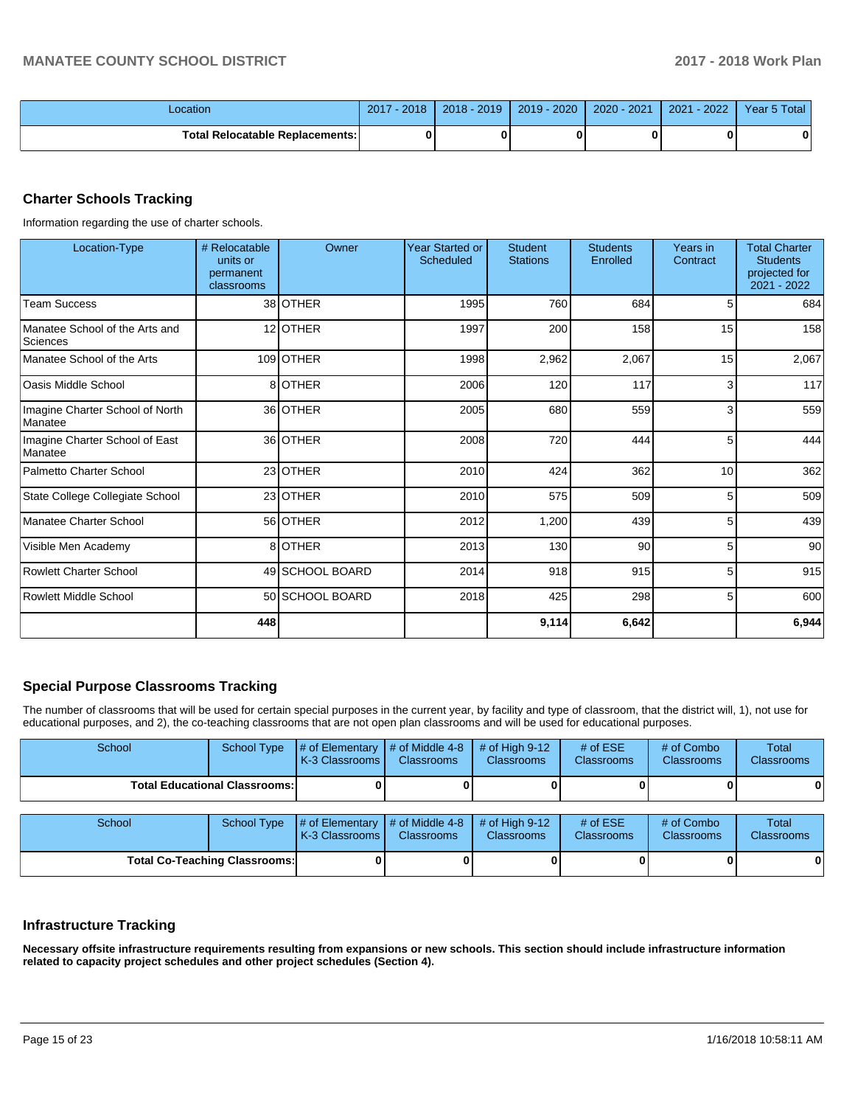| _ocation                               | 2017<br>$-2018$ | 2018 - 2019 | 2019 - 2020 | 2020 - 2021 | $-2022$<br>$2021 -$ | Year 5 Total |
|----------------------------------------|-----------------|-------------|-------------|-------------|---------------------|--------------|
| <b>Total Relocatable Replacements:</b> |                 |             |             |             |                     |              |

## **Charter Schools Tracking**

Information regarding the use of charter schools.

| Location-Type                              | # Relocatable<br>units or<br>permanent<br>classrooms | Owner           | <b>Year Started or</b><br>Scheduled | <b>Student</b><br><b>Stations</b> | <b>Students</b><br>Enrolled | Years in<br>Contract | <b>Total Charter</b><br><b>Students</b><br>projected for<br>2021 - 2022 |
|--------------------------------------------|------------------------------------------------------|-----------------|-------------------------------------|-----------------------------------|-----------------------------|----------------------|-------------------------------------------------------------------------|
| <b>Team Success</b>                        |                                                      | 38 OTHER        | 1995                                | 760                               | 684                         | 5                    | 684                                                                     |
| Manatee School of the Arts and<br>Sciences |                                                      | 12 OTHER        | 1997                                | 200                               | 158                         | 15                   | 158                                                                     |
| Manatee School of the Arts                 |                                                      | 109 OTHER       | 1998                                | 2,962                             | 2,067                       | 15                   | 2,067                                                                   |
| <b>Oasis Middle School</b>                 |                                                      | 8 OTHER         | 2006                                | 120                               | 117                         | 3                    | 117                                                                     |
| Imagine Charter School of North<br>Manatee |                                                      | 36 OTHER        | 2005                                | 680                               | 559                         | 3                    | 559                                                                     |
| Imagine Charter School of East<br>Manatee  |                                                      | 36 OTHER        | 2008                                | 720                               | 444                         | 5                    | 444                                                                     |
| Palmetto Charter School                    |                                                      | 23 OTHER        | 2010                                | 424                               | 362                         | 10                   | 362                                                                     |
| State College Collegiate School            |                                                      | 23 OTHER        | 2010                                | 575                               | 509                         | 5                    | 509                                                                     |
| Manatee Charter School                     |                                                      | 56 OTHER        | 2012                                | 1,200                             | 439                         | 5                    | 439                                                                     |
| Visible Men Academy                        |                                                      | 8 OTHER         | 2013                                | 130                               | 90                          | 5                    | 90                                                                      |
| <b>Rowlett Charter School</b>              |                                                      | 49 SCHOOL BOARD | 2014                                | 918                               | 915                         | 5                    | 915                                                                     |
| Rowlett Middle School                      |                                                      | 50 SCHOOL BOARD | 2018                                | 425                               | 298                         | 5                    | 600                                                                     |
|                                            | 448                                                  |                 |                                     | 9,114                             | 6,642                       |                      | 6,944                                                                   |

## **Special Purpose Classrooms Tracking**

The number of classrooms that will be used for certain special purposes in the current year, by facility and type of classroom, that the district will, 1), not use for educational purposes, and 2), the co-teaching classrooms that are not open plan classrooms and will be used for educational purposes.

| School                               | <b>School Type</b> | # of Elementary<br>K-3 Classrooms | # of Middle 4-8<br><b>Classrooms</b> | # of High $9-12$<br><b>Classrooms</b> | # of $ESE$<br>Classrooms | # of Combo<br><b>Classrooms</b> | Total<br><b>Classrooms</b> |
|--------------------------------------|--------------------|-----------------------------------|--------------------------------------|---------------------------------------|--------------------------|---------------------------------|----------------------------|
| <b>Total Educational Classrooms:</b> |                    |                                   |                                      |                                       |                          |                                 | 01                         |
| School                               | <b>School Type</b> | # of Elementary<br>K-3 Classrooms | # of Middle 4-8<br><b>Classrooms</b> | # of High $9-12$<br><b>Classrooms</b> | # of $ESE$<br>Classrooms | # of Combo<br><b>Classrooms</b> | Total<br><b>Classrooms</b> |
| <b>Total Co-Teaching Classrooms:</b> |                    |                                   |                                      |                                       |                          |                                 | 0                          |

#### **Infrastructure Tracking**

**Necessary offsite infrastructure requirements resulting from expansions or new schools. This section should include infrastructure information related to capacity project schedules and other project schedules (Section 4).**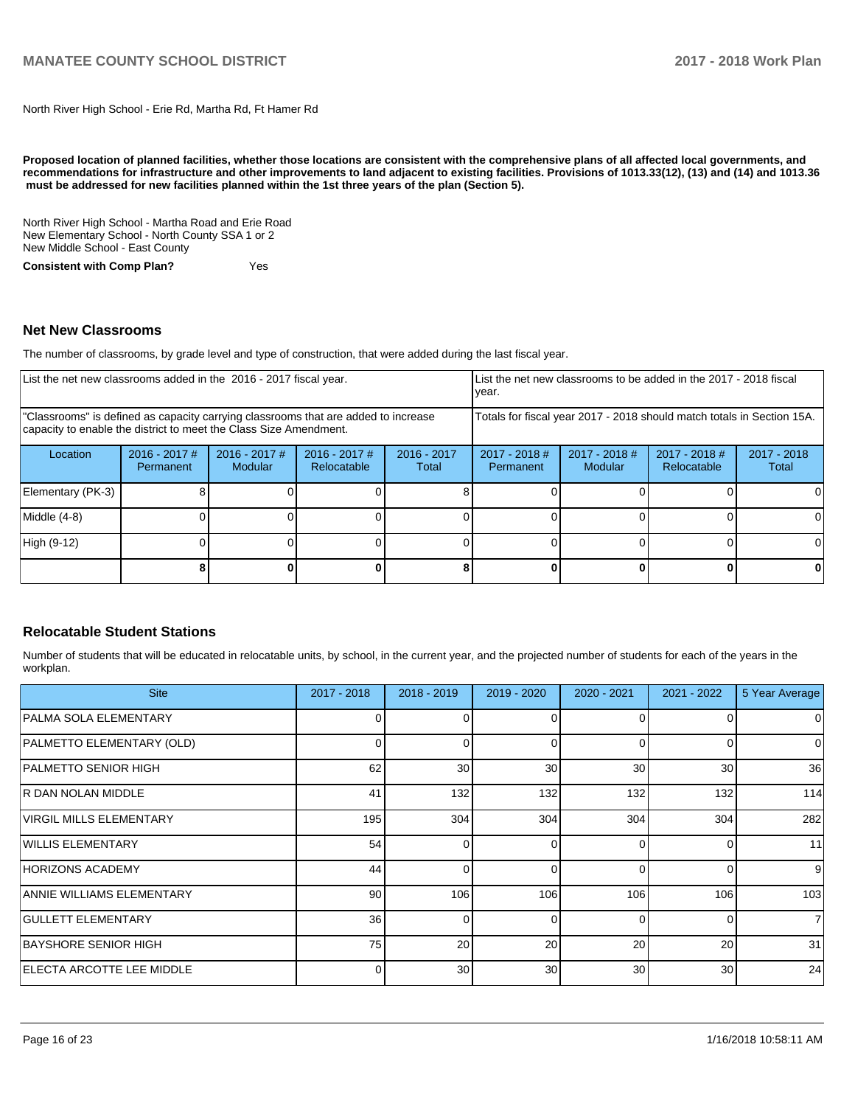North River High School - Erie Rd, Martha Rd, Ft Hamer Rd

**Proposed location of planned facilities, whether those locations are consistent with the comprehensive plans of all affected local governments, and recommendations for infrastructure and other improvements to land adjacent to existing facilities. Provisions of 1013.33(12), (13) and (14) and 1013.36** must be addressed for new facilities planned within the 1st three years of the plan (Section 5).

North River High School - Martha Road and Erie Road New Elementary School - North County SSA 1 or 2 New Middle School - East County

**Consistent with Comp Plan?** Yes

#### **Net New Classrooms**

The number of classrooms, by grade level and type of construction, that were added during the last fiscal year.

| List the net new classrooms added in the 2016 - 2017 fiscal year.                                                                                       | List the net new classrooms to be added in the 2017 - 2018 fiscal<br>year. |                                   |                                |                        |                                                                        |                                   |                                |                        |
|---------------------------------------------------------------------------------------------------------------------------------------------------------|----------------------------------------------------------------------------|-----------------------------------|--------------------------------|------------------------|------------------------------------------------------------------------|-----------------------------------|--------------------------------|------------------------|
| "Classrooms" is defined as capacity carrying classrooms that are added to increase<br>capacity to enable the district to meet the Class Size Amendment. |                                                                            |                                   |                                |                        | Totals for fiscal year 2017 - 2018 should match totals in Section 15A. |                                   |                                |                        |
| Location                                                                                                                                                | $2016 - 2017$ #<br>Permanent                                               | $2016 - 2017$ #<br><b>Modular</b> | $2016 - 2017$ #<br>Relocatable | $2016 - 2017$<br>Total | $2017 - 2018$ #<br>Permanent                                           | $2017 - 2018$ #<br><b>Modular</b> | $2017 - 2018$ #<br>Relocatable | $2017 - 2018$<br>Total |
| Elementary (PK-3)                                                                                                                                       |                                                                            |                                   |                                |                        |                                                                        |                                   |                                | 0                      |
| Middle (4-8)                                                                                                                                            |                                                                            |                                   |                                |                        |                                                                        |                                   |                                | $\Omega$               |
| High (9-12)                                                                                                                                             |                                                                            |                                   |                                |                        |                                                                        |                                   |                                | 0                      |
|                                                                                                                                                         |                                                                            |                                   |                                |                        |                                                                        |                                   |                                | 0                      |

### **Relocatable Student Stations**

Number of students that will be educated in relocatable units, by school, in the current year, and the projected number of students for each of the years in the workplan.

| <b>Site</b>                       | 2017 - 2018     | $2018 - 2019$ | 2019 - 2020 | $2020 - 2021$   | $2021 - 2022$ | 5 Year Average |
|-----------------------------------|-----------------|---------------|-------------|-----------------|---------------|----------------|
| PALMA SOLA ELEMENTARY             |                 |               |             |                 |               | 0              |
| PALMETTO ELEMENTARY (OLD)         |                 | $\Omega$      |             | $\Omega$        |               | $\Omega$       |
| PALMETTO SENIOR HIGH              | 62              | 30            | 30          | 30 <sup>°</sup> | 30            | 36             |
| IR DAN NOLAN MIDDLE               | 41              | 132           | 132         | 132             | 132           | 114            |
| <b>VIRGIL MILLS ELEMENTARY</b>    | 195             | 304           | 304         | 304             | 304           | 282            |
| WILLIS ELEMENTARY                 | 54              | $\Omega$      | O           | $\Omega$        | ŋ             | 11             |
| <b>HORIZONS ACADEMY</b>           | 44              | $\Omega$      | O           | $\Omega$        | 0             | 9              |
| ANNIE WILLIAMS ELEMENTARY         | 90              | 106           | 106         | 106             | 106           | 103            |
| <b>GULLETT ELEMENTARY</b>         | 36 <sup>1</sup> | $\Omega$      | 0           | $\Omega$        | $\Omega$      | $\overline{7}$ |
| BAYSHORE SENIOR HIGH              | 75              | 20            | 20          | 20              | 20            | 31             |
| <b>IELECTA ARCOTTE LEE MIDDLE</b> |                 | 30            | 30          | 30              | 30            | 24             |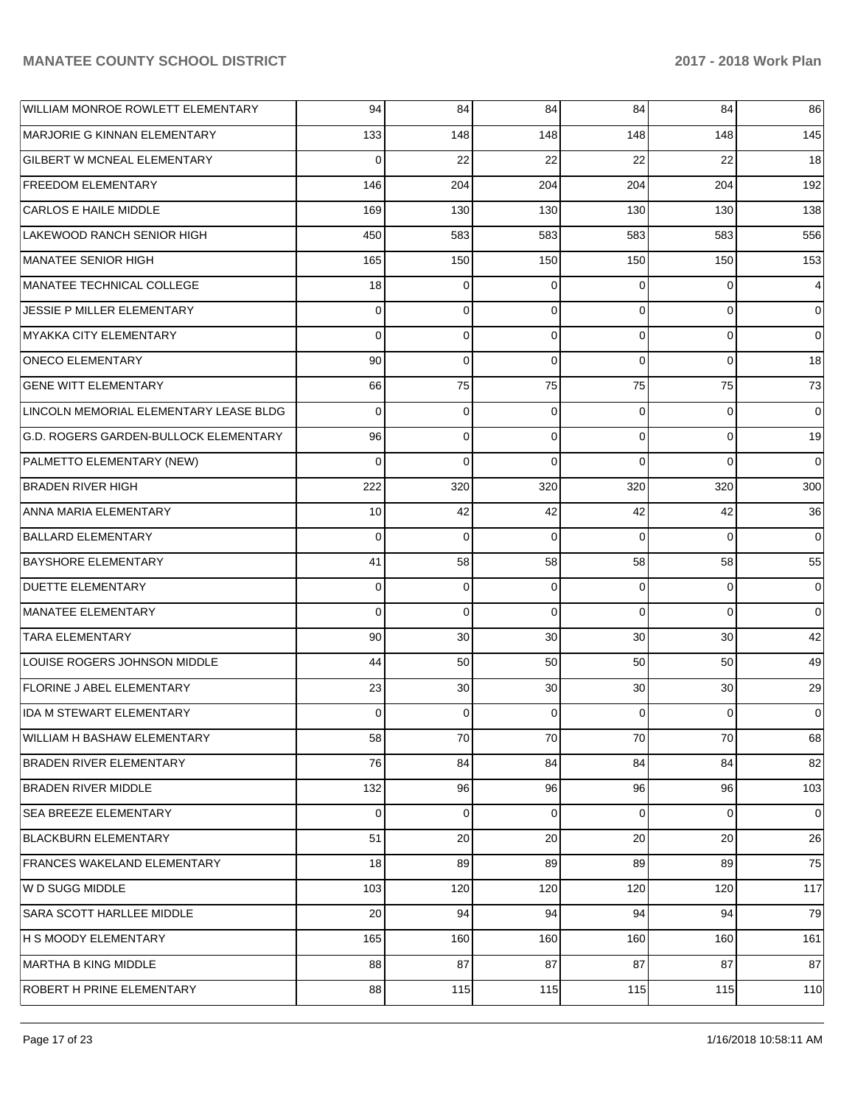| WILLIAM MONROE ROWLETT ELEMENTARY      | 94       | 84             | 84             | 84       | 84             | 86       |
|----------------------------------------|----------|----------------|----------------|----------|----------------|----------|
| MARJORIE G KINNAN ELEMENTARY           | 133      | 148            | 148            | 148      | 148            | 145      |
| <b>GILBERT W MCNEAL ELEMENTARY</b>     | $\Omega$ | 22             | 22             | 22       | 22             | 18       |
| <b>FREEDOM ELEMENTARY</b>              | 146      | 204            | 204            | 204      | 204            | 192      |
| <b>CARLOS E HAILE MIDDLE</b>           | 169      | 130            | 130            | 130      | 130            | 138      |
| LAKEWOOD RANCH SENIOR HIGH             | 450      | 583            | 583            | 583      | 583            | 556      |
| MANATEE SENIOR HIGH                    | 165      | 150            | 150            | 150      | 150            | 153      |
| MANATEE TECHNICAL COLLEGE              | 18       | 0              | 0              | $\Omega$ | $\Omega$       | 4        |
| JESSIE P MILLER ELEMENTARY             | $\Omega$ | $\Omega$       | $\Omega$       | $\Omega$ | $\Omega$       | $\Omega$ |
| MYAKKA CITY ELEMENTARY                 | $\Omega$ | $\mathbf 0$    | $\Omega$       | $\Omega$ | $\Omega$       | 0        |
| <b>ONECO ELEMENTARY</b>                | 90       | $\Omega$       | $\Omega$       | $\Omega$ | $\Omega$       | 18       |
| <b>GENE WITT ELEMENTARY</b>            | 66       | 75             | 75             | 75       | 75             | 73       |
| LINCOLN MEMORIAL ELEMENTARY LEASE BLDG | $\Omega$ | 0              | $\Omega$       | $\Omega$ | $\Omega$       | $\Omega$ |
| G.D. ROGERS GARDEN-BULLOCK ELEMENTARY  | 96       | $\mathbf 0$    | $\Omega$       | $\Omega$ | $\Omega$       | 19       |
| PALMETTO ELEMENTARY (NEW)              | $\Omega$ | $\Omega$       | $\Omega$       | $\Omega$ | $\Omega$       | $\Omega$ |
| <b>BRADEN RIVER HIGH</b>               | 222      | 320            | 320            | 320      | 320            | 300      |
| ANNA MARIA ELEMENTARY                  | 10       | 42             | 42             | 42       | 42             | 36       |
| <b>BALLARD ELEMENTARY</b>              | $\Omega$ | $\Omega$       | $\Omega$       | $\Omega$ | $\Omega$       | 0        |
| <b>BAYSHORE ELEMENTARY</b>             | 41       | 58             | 58             | 58       | 58             | 55       |
| <b>DUETTE ELEMENTARY</b>               | $\Omega$ | 0              | 0              | $\Omega$ | $\Omega$       | 0        |
| <b>MANATEE ELEMENTARY</b>              | $\Omega$ | $\Omega$       | $\Omega$       | $\Omega$ | $\Omega$       | $\Omega$ |
| <b>TARA ELEMENTARY</b>                 | 90       | 30             | 30             | 30       | 30             | 42       |
| LOUISE ROGERS JOHNSON MIDDLE           | 44       | 50             | 50             | 50       | 50             | 49       |
| <b>FLORINE J ABEL ELEMENTARY</b>       | 23       | 30             | 30             | 30       | 30             | 29       |
| <b>IDA M STEWART ELEMENTARY</b>        | 0        | 0              | $\Omega$       | 0        | $\Omega$       | 0        |
| WILLIAM H BASHAW ELEMENTARY            | 58       | 70             | 70             | 70       | 70             | 68       |
| BRADEN RIVER ELEMENTARY                | 76       | 84             | 84             | 84       | 84             | 82       |
| <b>BRADEN RIVER MIDDLE</b>             | 132      | 96             | 96             | 96       | 96             | 103      |
| <b>SEA BREEZE ELEMENTARY</b>           | $\Omega$ | $\overline{0}$ | $\overline{0}$ | $\Omega$ | $\overline{0}$ | 0        |
| <b>BLACKBURN ELEMENTARY</b>            | 51       | 20             | 20             | 20       | 20             | 26       |
| FRANCES WAKELAND ELEMENTARY            | 18       | 89             | 89             | 89       | 89             | 75       |
| W D SUGG MIDDLE                        | 103      | 120            | 120            | 120      | 120            | 117      |
| SARA SCOTT HARLLEE MIDDLE              | 20       | 94             | 94             | 94       | 94             | 79       |
| H S MOODY ELEMENTARY                   | 165      | 160            | 160            | 160      | 160            | 161      |
| <b>MARTHA B KING MIDDLE</b>            | 88       | 87             | 87             | 87       | 87             | 87       |
| ROBERT H PRINE ELEMENTARY              | 88       | 115            | 115            | 115      | 115            | 110      |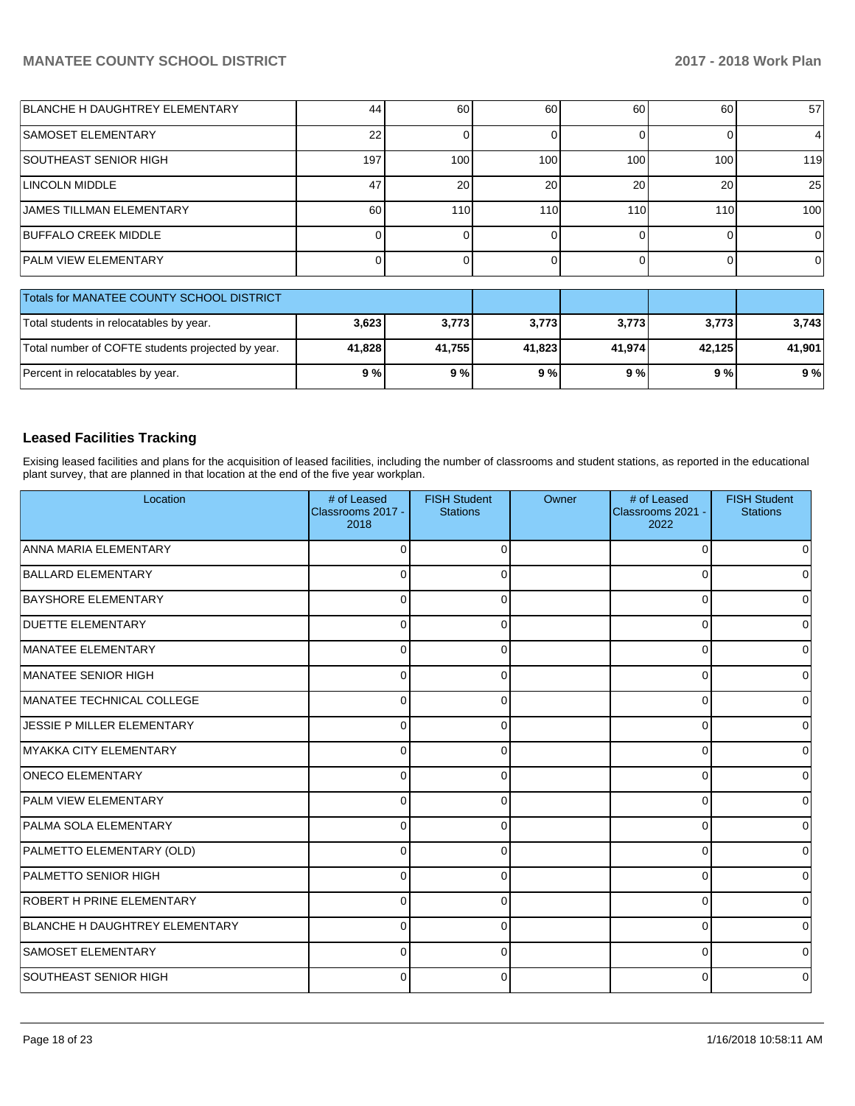| BLANCHE H DAUGHTREY ELEMENTARY                    | 44       | 60     | 60     | 60       | 60     | 57               |
|---------------------------------------------------|----------|--------|--------|----------|--------|------------------|
| <b>SAMOSET ELEMENTARY</b>                         | 22       |        | O      |          |        | 4                |
| SOUTHEAST SENIOR HIGH                             | 197      | 100    | 100    | 100      | 100    | 119              |
| <b>LINCOLN MIDDLE</b>                             | 47       | 20     | 20     | 20       | 20     | 25               |
| <b>JAMES TILLMAN ELEMENTARY</b>                   | 60       | 110    | 110    | 110      | 110    | 100 <sup>1</sup> |
| <b>BUFFALO CREEK MIDDLE</b>                       | $\Omega$ |        | 0      | $\Omega$ | 0      | $\Omega$         |
| <b>PALM VIEW ELEMENTARY</b>                       |          |        | 0      |          |        | $\Omega$         |
| Totals for MANATEE COUNTY SCHOOL DISTRICT         |          |        |        |          |        |                  |
| Total students in relocatables by year.           | 3,623    | 3,773  | 3,773  | 3,773    | 3,773  | 3,743            |
| Total number of COFTE students projected by year. | 41,828   | 41,755 | 41,823 | 41,974   | 42,125 | 41,901           |
| Percent in relocatables by year.                  | 9%       | 9%     | 9%     | 9%       | 9%     | 9%               |

## **Leased Facilities Tracking**

Exising leased facilities and plans for the acquisition of leased facilities, including the number of classrooms and student stations, as reported in the educational plant survey, that are planned in that location at the end of the five year workplan.

| Location                       | # of Leased<br>Classrooms 2017 -<br>2018 | <b>FISH Student</b><br><b>Stations</b> | Owner | # of Leased<br>Classrooms 2021 -<br>2022 | <b>FISH Student</b><br><b>Stations</b> |
|--------------------------------|------------------------------------------|----------------------------------------|-------|------------------------------------------|----------------------------------------|
| ANNA MARIA ELEMENTARY          | $\Omega$                                 | $\Omega$                               |       | $\mathbf 0$                              | <sup>0</sup>                           |
| <b>BALLARD ELEMENTARY</b>      | $\Omega$                                 | $\Omega$                               |       | $\Omega$                                 |                                        |
| <b>BAYSHORE ELEMENTARY</b>     | 0                                        | 0                                      |       | 0                                        | o                                      |
| <b>DUETTE ELEMENTARY</b>       | 0                                        | U                                      |       | 0                                        | o                                      |
| MANATEE ELEMENTARY             | $\Omega$                                 | 0                                      |       | 0                                        | 0                                      |
| MANATEE SENIOR HIGH            | $\Omega$                                 | n                                      |       | $\Omega$                                 | 0                                      |
| MANATEE TECHNICAL COLLEGE      | $\Omega$                                 |                                        |       | $\Omega$                                 | <sup>0</sup>                           |
| JESSIE P MILLER ELEMENTARY     | $\Omega$                                 |                                        |       | $\Omega$                                 |                                        |
| MYAKKA CITY ELEMENTARY         | $\Omega$                                 | $\Omega$                               |       | $\Omega$                                 | U                                      |
| <b>ONECO ELEMENTARY</b>        | $\Omega$                                 | $\Omega$                               |       | $\Omega$                                 | <sup>0</sup>                           |
| <b>PALM VIEW ELEMENTARY</b>    | 0                                        | 0                                      |       | 0                                        | <sup>0</sup>                           |
| <b>PALMA SOLA ELEMENTARY</b>   | 0                                        | 0                                      |       | 0                                        | 0                                      |
| PALMETTO ELEMENTARY (OLD)      | $\Omega$                                 | 0                                      |       | 0                                        | 0                                      |
| <b>PALMETTO SENIOR HIGH</b>    | 0                                        | 0                                      |       | 0                                        | <sup>0</sup>                           |
| ROBERT H PRINE ELEMENTARY      | $\Omega$                                 |                                        |       | 0                                        |                                        |
| BLANCHE H DAUGHTREY ELEMENTARY | U                                        |                                        |       | $\Omega$                                 |                                        |
| SAMOSET ELEMENTARY             | $\Omega$                                 | $\Omega$                               |       | 0                                        |                                        |
| SOUTHEAST SENIOR HIGH          | $\Omega$                                 | O                                      |       | 0                                        |                                        |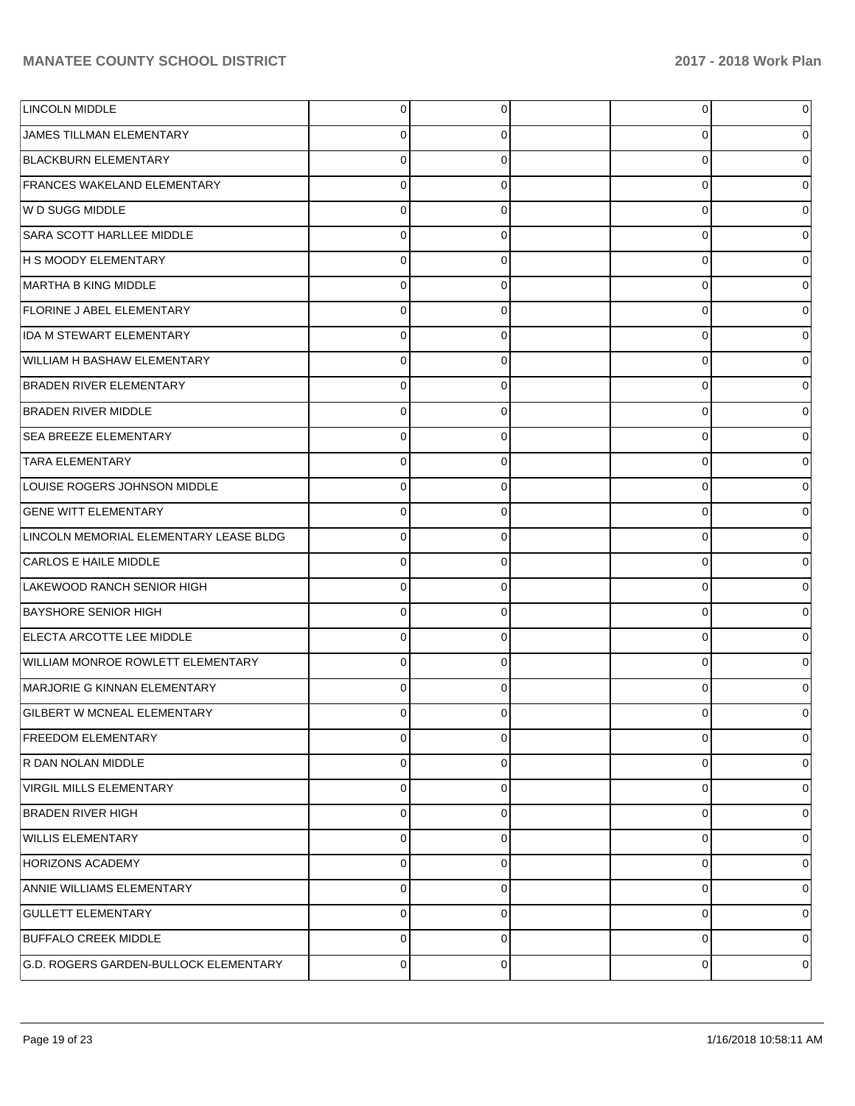| <b>LINCOLN MIDDLE</b>                  | $\overline{0}$ | 0        | $\overline{0}$ |          |
|----------------------------------------|----------------|----------|----------------|----------|
| JAMES TILLMAN ELEMENTARY               | 0              | 0        | 0              |          |
| <b>BLACKBURN ELEMENTARY</b>            | $\mathbf 0$    | 0        | 0              |          |
| <b>FRANCES WAKELAND ELEMENTARY</b>     | $\mathbf 0$    | 0        | 0              |          |
| W D SUGG MIDDLE                        | $\mathbf 0$    | 0        | 0              |          |
| SARA SCOTT HARLLEE MIDDLE              | $\mathbf 0$    | 0        | 0              |          |
| <b>H S MOODY ELEMENTARY</b>            | $\mathbf 0$    | 0        | 0              |          |
| MARTHA B KING MIDDLE                   | $\mathbf 0$    | 0        | 0              |          |
| <b>FLORINE J ABEL ELEMENTARY</b>       | $\mathbf 0$    | 0        | 0              |          |
| IDA M STEWART ELEMENTARY               | $\mathbf 0$    | 0        | 0              |          |
| WILLIAM H BASHAW ELEMENTARY            | $\mathbf 0$    | 0        | 0              |          |
| <b>BRADEN RIVER ELEMENTARY</b>         | $\mathbf 0$    | 0        | 0              |          |
| <b>BRADEN RIVER MIDDLE</b>             | $\mathbf 0$    | 0        | 0              |          |
| <b>SEA BREEZE ELEMENTARY</b>           | $\mathbf 0$    | 0        | 0              |          |
| <b>TARA ELEMENTARY</b>                 | $\mathbf 0$    | 0        | 0              |          |
| LOUISE ROGERS JOHNSON MIDDLE           | $\mathbf 0$    | 0        | 0              |          |
| <b>GENE WITT ELEMENTARY</b>            | $\mathbf 0$    | 0        | 0              |          |
| LINCOLN MEMORIAL ELEMENTARY LEASE BLDG | $\mathbf 0$    | 0        | 0              |          |
| CARLOS E HAILE MIDDLE                  | $\Omega$       | 0        | 0              |          |
| LAKEWOOD RANCH SENIOR HIGH             | $\mathbf 0$    | 0        | 0              |          |
| <b>BAYSHORE SENIOR HIGH</b>            | $\Omega$       | 0        | 0              |          |
| ELECTA ARCOTTE LEE MIDDLE              | $\mathbf 0$    | 0        | 0              |          |
| WILLIAM MONROE ROWLETT ELEMENTARY      | $\mathbf 0$    | 0        | 0              |          |
| MARJORIE G KINNAN ELEMENTARY           | $\mathbf 0$    | 0        | 0              |          |
| <b>GILBERT W MCNEAL ELEMENTARY</b>     | $\Omega$       |          | 0              |          |
| <b>FREEDOM ELEMENTARY</b>              | $\mathbf 0$    | 0        | 0              | 0        |
| R DAN NOLAN MIDDLE                     | 0              | 0        | 0              | 0        |
| VIRGIL MILLS ELEMENTARY                | $\pmb{0}$      | $\Omega$ | 0              | 0        |
| <b>BRADEN RIVER HIGH</b>               | $\pmb{0}$      | 0        | 0              | 0        |
| <b>WILLIS ELEMENTARY</b>               | $\pmb{0}$      | 0        | 0              | $\Omega$ |
| <b>HORIZONS ACADEMY</b>                | $\pmb{0}$      | 0        | 0              | 0        |
| ANNIE WILLIAMS ELEMENTARY              | $\pmb{0}$      | 0        | 0              | $\Omega$ |
| <b>GULLETT ELEMENTARY</b>              | $\pmb{0}$      | 0        | 0              | 0        |
| <b>BUFFALO CREEK MIDDLE</b>            | $\pmb{0}$      | 0        | 0              | $\Omega$ |
| G.D. ROGERS GARDEN-BULLOCK ELEMENTARY  | $\mathbf 0$    | 0        | 0              | 0        |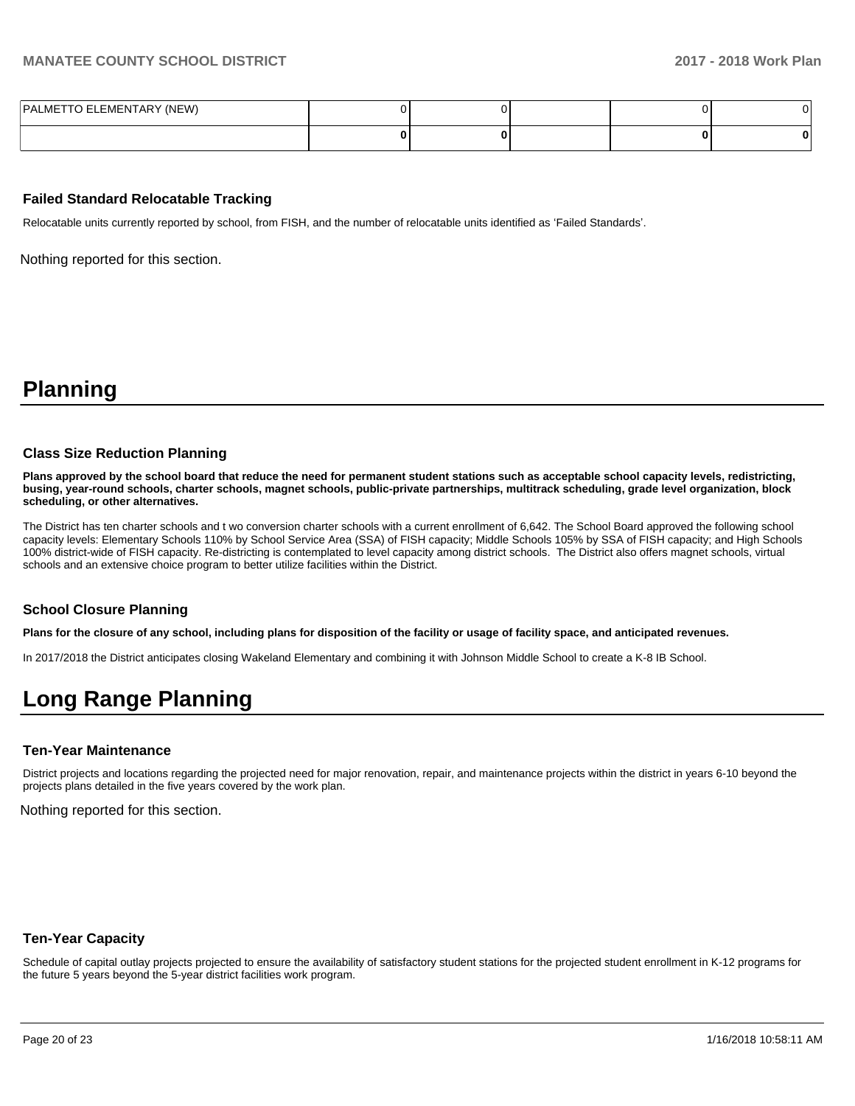| PALMETTO ELEMENTARY (NEW) |  |  |  |
|---------------------------|--|--|--|
|                           |  |  |  |

#### **Failed Standard Relocatable Tracking**

Relocatable units currently reported by school, from FISH, and the number of relocatable units identified as 'Failed Standards'.

Nothing reported for this section.

## **Planning**

#### **Class Size Reduction Planning**

**Plans approved by the school board that reduce the need for permanent student stations such as acceptable school capacity levels, redistricting, busing, year-round schools, charter schools, magnet schools, public-private partnerships, multitrack scheduling, grade level organization, block scheduling, or other alternatives.**

The District has ten charter schools and t wo conversion charter schools with a current enrollment of 6,642. The School Board approved the following school capacity levels: Elementary Schools 110% by School Service Area (SSA) of FISH capacity; Middle Schools 105% by SSA of FISH capacity; and High Schools 100% district-wide of FISH capacity. Re-districting is contemplated to level capacity among district schools. The District also offers magnet schools, virtual schools and an extensive choice program to better utilize facilities within the District.

#### **School Closure Planning**

**Plans for the closure of any school, including plans for disposition of the facility or usage of facility space, and anticipated revenues.** 

In 2017/2018 the District anticipates closing Wakeland Elementary and combining it with Johnson Middle School to create a K-8 IB School.

# **Long Range Planning**

#### **Ten-Year Maintenance**

District projects and locations regarding the projected need for major renovation, repair, and maintenance projects within the district in years 6-10 beyond the projects plans detailed in the five years covered by the work plan.

Nothing reported for this section.

#### **Ten-Year Capacity**

Schedule of capital outlay projects projected to ensure the availability of satisfactory student stations for the projected student enrollment in K-12 programs for the future 5 years beyond the 5-year district facilities work program.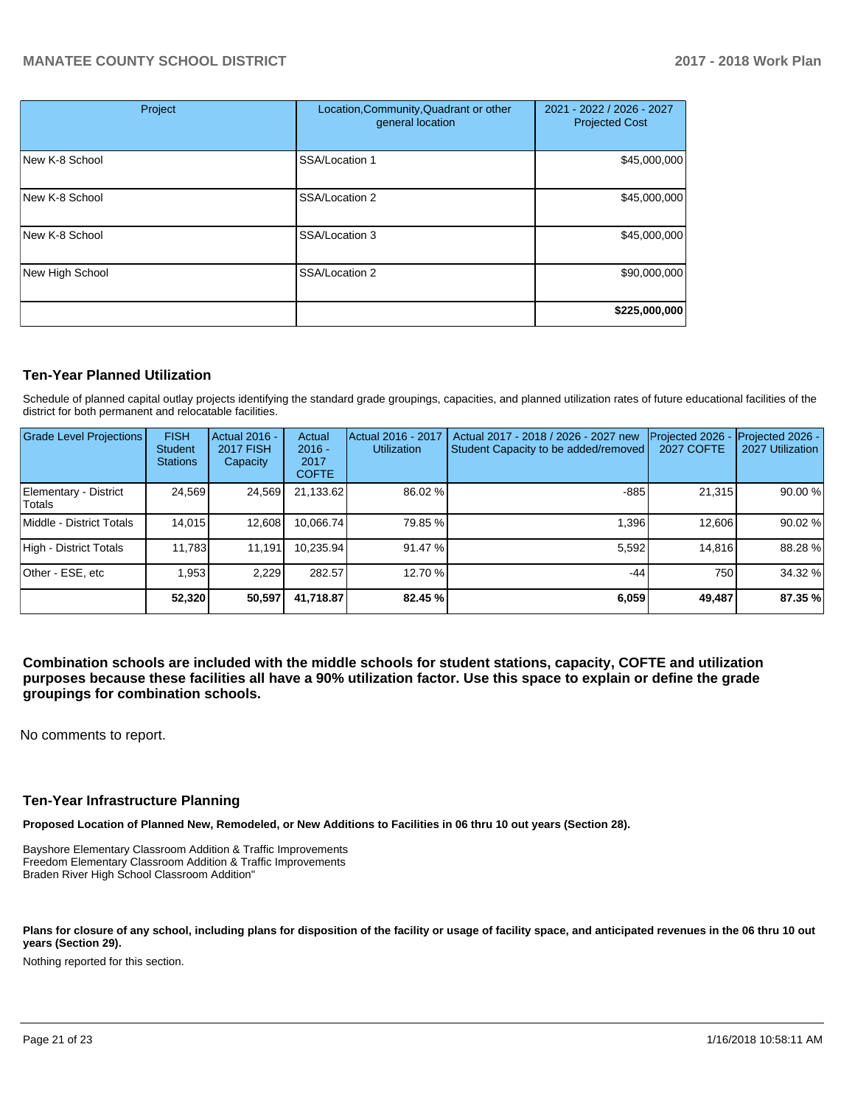| Project         | Location, Community, Quadrant or other<br>general location | 2021 - 2022 / 2026 - 2027<br><b>Projected Cost</b> |  |
|-----------------|------------------------------------------------------------|----------------------------------------------------|--|
| New K-8 School  | SSA/Location 1                                             | \$45,000,000                                       |  |
| New K-8 School  | SSA/Location 2                                             | \$45,000,000                                       |  |
| New K-8 School  | SSA/Location 3                                             | \$45,000,000                                       |  |
| New High School | SSA/Location 2                                             | \$90,000,000                                       |  |
|                 |                                                            | \$225,000,000                                      |  |

#### **Ten-Year Planned Utilization**

Schedule of planned capital outlay projects identifying the standard grade groupings, capacities, and planned utilization rates of future educational facilities of the district for both permanent and relocatable facilities.

| <b>Grade Level Projections</b>  | <b>FISH</b><br><b>Student</b><br><b>Stations</b> | Actual 2016 -<br>2017 FISH<br>Capacity | Actual<br>$2016 -$<br>2017<br><b>COFTE</b> | Actual 2016 - 2017<br><b>Utilization</b> | Actual 2017 - 2018 / 2026 - 2027 new<br>Student Capacity to be added/removed | Projected 2026<br>2027 COFTE | Projected 2026 -<br>2027 Utilization |
|---------------------------------|--------------------------------------------------|----------------------------------------|--------------------------------------------|------------------------------------------|------------------------------------------------------------------------------|------------------------------|--------------------------------------|
| Elementary - District<br>Totals | 24,569                                           | 24,569                                 | 21,133.62                                  | 86.02 %                                  | $-885$                                                                       | 21,315                       | 90.00 %                              |
| Middle - District Totals        | 14,015                                           | 12,608                                 | 10.066.74                                  | 79.85 %                                  | 1,396                                                                        | 12,606                       | 90.02 %                              |
| High - District Totals          | 11,783                                           | 11,191                                 | 10.235.94                                  | 91.47 %                                  | 5,592                                                                        | 14.816                       | 88.28%                               |
| Other - ESE, etc                | 1.953                                            | 2.229                                  | 282.57                                     | 12.70 %                                  | $-44$                                                                        | 750                          | 34.32 %                              |
|                                 | 52.320                                           | 50,597                                 | 41,718.87                                  | 82.45 %                                  | 6,059                                                                        | 49,487                       | 87.35 %                              |

**Combination schools are included with the middle schools for student stations, capacity, COFTE and utilization purposes because these facilities all have a 90% utilization factor. Use this space to explain or define the grade groupings for combination schools.** 

No comments to report.

#### **Ten-Year Infrastructure Planning**

**Proposed Location of Planned New, Remodeled, or New Additions to Facilities in 06 thru 10 out years (Section 28).**

Bayshore Elementary Classroom Addition & Traffic Improvements Freedom Elementary Classroom Addition & Traffic Improvements Braden River High School Classroom Addition"

Plans for closure of any school, including plans for disposition of the facility or usage of facility space, and anticipated revenues in the 06 thru 10 out **years (Section 29).**

Nothing reported for this section.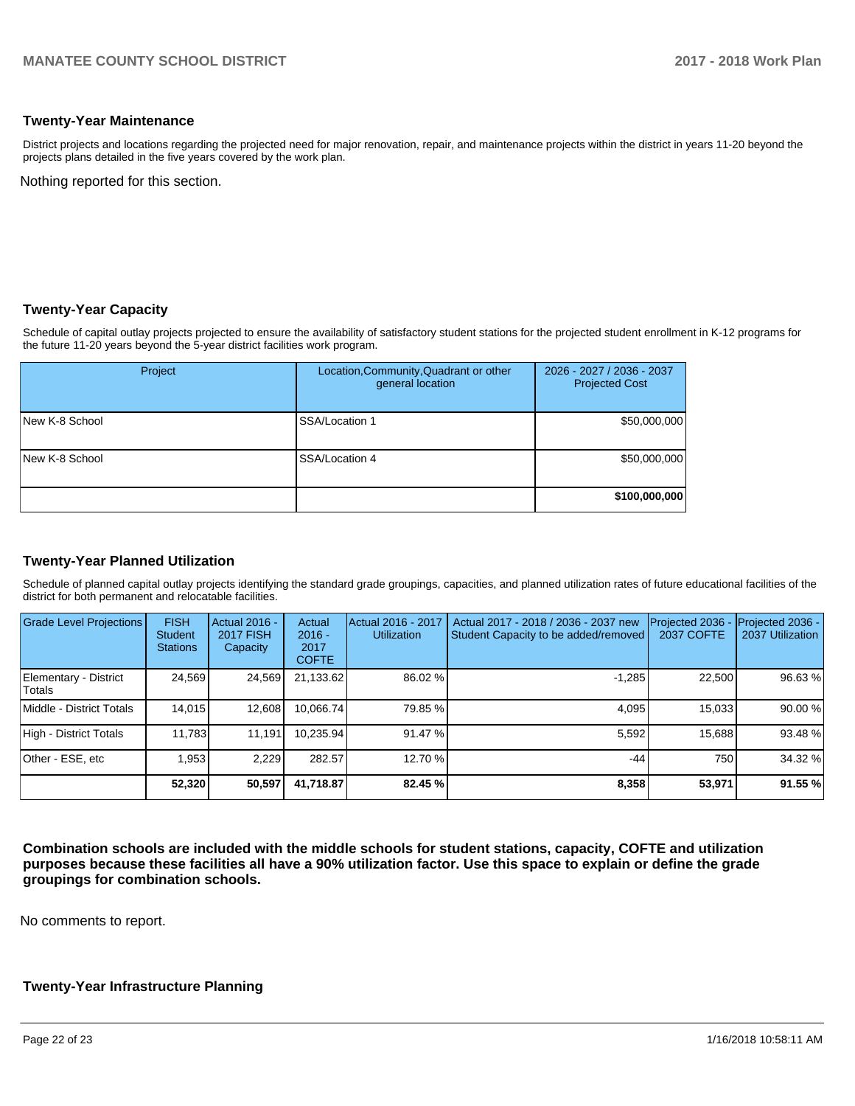#### **Twenty-Year Maintenance**

District projects and locations regarding the projected need for major renovation, repair, and maintenance projects within the district in years 11-20 beyond the projects plans detailed in the five years covered by the work plan.

Nothing reported for this section.

#### **Twenty-Year Capacity**

Schedule of capital outlay projects projected to ensure the availability of satisfactory student stations for the projected student enrollment in K-12 programs for the future 11-20 years beyond the 5-year district facilities work program.

| Project        | Location, Community, Quadrant or other<br>general location | 2026 - 2027 / 2036 - 2037<br><b>Projected Cost</b> |
|----------------|------------------------------------------------------------|----------------------------------------------------|
| New K-8 School | SSA/Location 1                                             | \$50,000,000                                       |
| New K-8 School | SSA/Location 4                                             | \$50,000,000                                       |
|                |                                                            | \$100,000,000                                      |

## **Twenty-Year Planned Utilization**

Schedule of planned capital outlay projects identifying the standard grade groupings, capacities, and planned utilization rates of future educational facilities of the district for both permanent and relocatable facilities.

| <b>Grade Level Projections</b>         | <b>FISH</b><br><b>Student</b><br><b>Stations</b> | Actual 2016 -<br><b>2017 FISH</b><br>Capacity | Actual<br>$2016 -$<br>2017<br><b>COFTE</b> | Actual 2016 - 2017<br><b>Utilization</b> | Actual 2017 - 2018 / 2036 - 2037 new<br>Student Capacity to be added/removed | Projected 2036<br>2037 COFTE | Projected 2036 -<br>2037 Utilization |
|----------------------------------------|--------------------------------------------------|-----------------------------------------------|--------------------------------------------|------------------------------------------|------------------------------------------------------------------------------|------------------------------|--------------------------------------|
| Elementary - District<br><b>Totals</b> | 24,569                                           | 24,569                                        | 21,133.62                                  | 86.02 %                                  | $-1,285$                                                                     | 22,500                       | 96.63%                               |
| Middle - District Totals               | 14.015                                           | 12,608                                        | 10.066.74                                  | 79.85 %                                  | 4.095                                                                        | 15.033                       | 90.00 %                              |
| High - District Totals                 | 11,783                                           | 11.191                                        | 10.235.94                                  | 91.47 %                                  | 5.592                                                                        | 15.688                       | 93.48 %                              |
| Other - ESE, etc                       | .953                                             | 2.229                                         | 282.57                                     | 12.70 %                                  | $-44$                                                                        | 750                          | 34.32 %                              |
|                                        | 52,320                                           | 50,597                                        | 41,718.87                                  | 82.45 %                                  | 8,358                                                                        | 53,971                       | 91.55 %                              |

**Combination schools are included with the middle schools for student stations, capacity, COFTE and utilization purposes because these facilities all have a 90% utilization factor. Use this space to explain or define the grade groupings for combination schools.** 

No comments to report.

#### **Twenty-Year Infrastructure Planning**